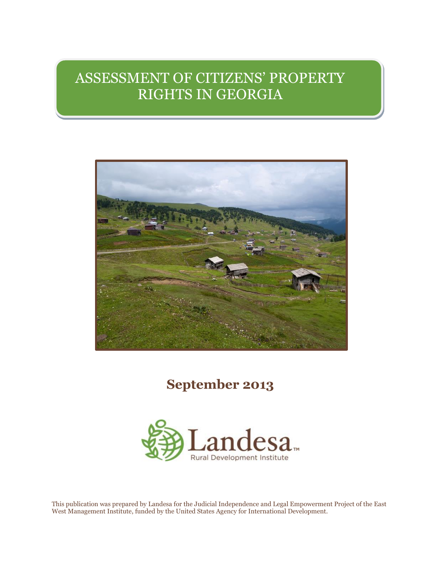# ASSESSMENT OF CITIZENS' PROPERTY RIGHTS IN GEORGIA



## **September 2013**



This publication was prepared by Landesa for the Judicial Independence and Legal Empowerment Project of the East West Management Institute, funded by the United States Agency for International Development.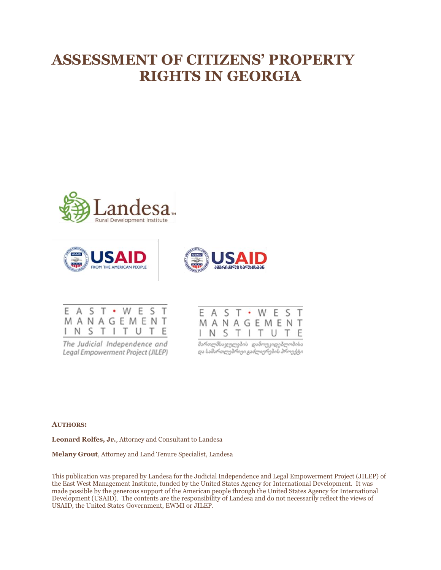# **ASSESSMENT OF CITIZENS' PROPERTY RIGHTS IN GEORGIA**









The Judicial Independence and Legal Empowerment Project (JILEP)

| E A S T · W E S T |  |  |  |  |
|-------------------|--|--|--|--|
| MANAGEMENT        |  |  |  |  |
| IN S T I T U T E  |  |  |  |  |

მართლმსავლულების დამოუკიდებლობისა<br>და სამართლებრივი გაძლიერების პროექტი

#### **AUTHORS:**

**Leonard Rolfes, Jr.**, Attorney and Consultant to Landesa

**Melany Grout**, Attorney and Land Tenure Specialist, Landesa

This publication was prepared by Landesa for the Judicial Independence and Legal Empowerment Project (JILEP) of the East West Management Institute, funded by the United States Agency for International Development. It was made possible by the generous support of the American people through the United States Agency for International Development (USAID). The contents are the responsibility of Landesa and do not necessarily reflect the views of USAID, the United States Government, EWMI or JILEP.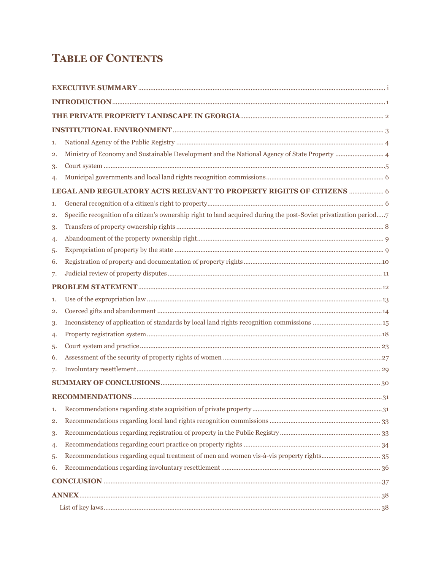### **TABLE OF CONTENTS**

| 1. |                                                                                                                   |  |  |  |
|----|-------------------------------------------------------------------------------------------------------------------|--|--|--|
| 2. |                                                                                                                   |  |  |  |
| 3. |                                                                                                                   |  |  |  |
| 4. |                                                                                                                   |  |  |  |
|    | LEGAL AND REGULATORY ACTS RELEVANT TO PROPERTY RIGHTS OF CITIZENS  6                                              |  |  |  |
| 1. |                                                                                                                   |  |  |  |
| 2. | Specific recognition of a citizen's ownership right to land acquired during the post-Soviet privatization period7 |  |  |  |
| 3. |                                                                                                                   |  |  |  |
| 4. |                                                                                                                   |  |  |  |
| 5. |                                                                                                                   |  |  |  |
| 6. |                                                                                                                   |  |  |  |
| 7. |                                                                                                                   |  |  |  |
|    |                                                                                                                   |  |  |  |
| 1. |                                                                                                                   |  |  |  |
| 2. |                                                                                                                   |  |  |  |
| 3. |                                                                                                                   |  |  |  |
| 4. |                                                                                                                   |  |  |  |
| 5. |                                                                                                                   |  |  |  |
| 6. |                                                                                                                   |  |  |  |
| 7. |                                                                                                                   |  |  |  |
|    |                                                                                                                   |  |  |  |
|    |                                                                                                                   |  |  |  |
| 1. |                                                                                                                   |  |  |  |
| 2. |                                                                                                                   |  |  |  |
| 3. |                                                                                                                   |  |  |  |
| 4. |                                                                                                                   |  |  |  |
| 5. |                                                                                                                   |  |  |  |
| 6. |                                                                                                                   |  |  |  |
|    |                                                                                                                   |  |  |  |
|    |                                                                                                                   |  |  |  |
|    |                                                                                                                   |  |  |  |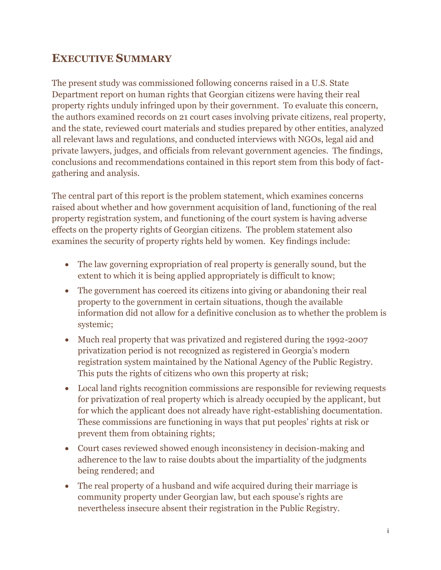### **EXECUTIVE SUMMARY**

The present study was commissioned following concerns raised in a U.S. State Department report on human rights that Georgian citizens were having their real property rights unduly infringed upon by their government. To evaluate this concern, the authors examined records on 21 court cases involving private citizens, real property, and the state, reviewed court materials and studies prepared by other entities, analyzed all relevant laws and regulations, and conducted interviews with NGOs, legal aid and private lawyers, judges, and officials from relevant government agencies. The findings, conclusions and recommendations contained in this report stem from this body of factgathering and analysis.

The central part of this report is the problem statement, which examines concerns raised about whether and how government acquisition of land, functioning of the real property registration system, and functioning of the court system is having adverse effects on the property rights of Georgian citizens. The problem statement also examines the security of property rights held by women. Key findings include:

- The law governing expropriation of real property is generally sound, but the extent to which it is being applied appropriately is difficult to know;
- The government has coerced its citizens into giving or abandoning their real property to the government in certain situations, though the available information did not allow for a definitive conclusion as to whether the problem is systemic;
- Much real property that was privatized and registered during the 1992-2007 privatization period is not recognized as registered in Georgia's modern registration system maintained by the National Agency of the Public Registry. This puts the rights of citizens who own this property at risk;
- Local land rights recognition commissions are responsible for reviewing requests for privatization of real property which is already occupied by the applicant, but for which the applicant does not already have right-establishing documentation. These commissions are functioning in ways that put peoples' rights at risk or prevent them from obtaining rights;
- Court cases reviewed showed enough inconsistency in decision-making and adherence to the law to raise doubts about the impartiality of the judgments being rendered; and
- The real property of a husband and wife acquired during their marriage is community property under Georgian law, but each spouse's rights are nevertheless insecure absent their registration in the Public Registry.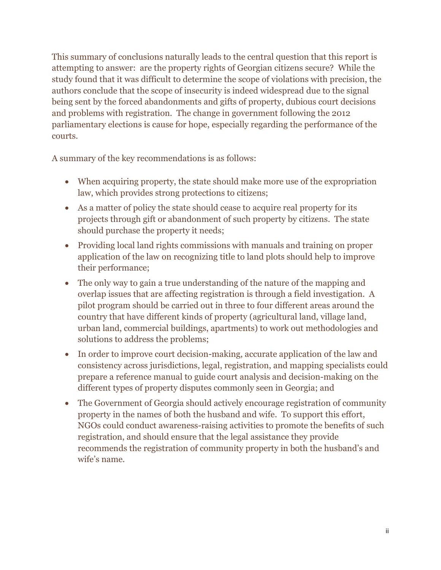This summary of conclusions naturally leads to the central question that this report is attempting to answer: are the property rights of Georgian citizens secure? While the study found that it was difficult to determine the scope of violations with precision, the authors conclude that the scope of insecurity is indeed widespread due to the signal being sent by the forced abandonments and gifts of property, dubious court decisions and problems with registration. The change in government following the 2012 parliamentary elections is cause for hope, especially regarding the performance of the courts.

A summary of the key recommendations is as follows:

- When acquiring property, the state should make more use of the expropriation law, which provides strong protections to citizens;
- As a matter of policy the state should cease to acquire real property for its projects through gift or abandonment of such property by citizens. The state should purchase the property it needs;
- Providing local land rights commissions with manuals and training on proper application of the law on recognizing title to land plots should help to improve their performance;
- The only way to gain a true understanding of the nature of the mapping and overlap issues that are affecting registration is through a field investigation. A pilot program should be carried out in three to four different areas around the country that have different kinds of property (agricultural land, village land, urban land, commercial buildings, apartments) to work out methodologies and solutions to address the problems;
- In order to improve court decision-making, accurate application of the law and consistency across jurisdictions, legal, registration, and mapping specialists could prepare a reference manual to guide court analysis and decision-making on the different types of property disputes commonly seen in Georgia; and
- The Government of Georgia should actively encourage registration of community property in the names of both the husband and wife. To support this effort, NGOs could conduct awareness-raising activities to promote the benefits of such registration, and should ensure that the legal assistance they provide recommends the registration of community property in both the husband's and wife's name.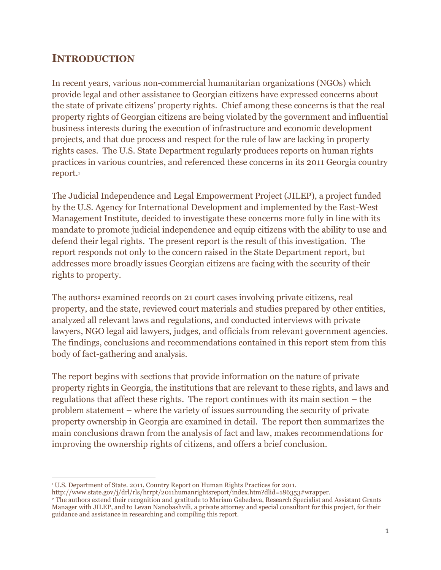### **INTRODUCTION**

In recent years, various non-commercial humanitarian organizations (NGOs) which provide legal and other assistance to Georgian citizens have expressed concerns about the state of private citizens' property rights. Chief among these concerns is that the real property rights of Georgian citizens are being violated by the government and influential business interests during the execution of infrastructure and economic development projects, and that due process and respect for the rule of law are lacking in property rights cases. The U.S. State Department regularly produces reports on human rights practices in various countries, and referenced these concerns in its 2011 Georgia country report. 1

The Judicial Independence and Legal Empowerment Project (JILEP), a project funded by the U.S. Agency for International Development and implemented by the East-West Management Institute, decided to investigate these concerns more fully in line with its mandate to promote judicial independence and equip citizens with the ability to use and defend their legal rights. The present report is the result of this investigation. The report responds not only to the concern raised in the State Department report, but addresses more broadly issues Georgian citizens are facing with the security of their rights to property.

The authors<sup>2</sup> examined records on 21 court cases involving private citizens, real property, and the state, reviewed court materials and studies prepared by other entities, analyzed all relevant laws and regulations, and conducted interviews with private lawyers, NGO legal aid lawyers, judges, and officials from relevant government agencies. The findings, conclusions and recommendations contained in this report stem from this body of fact-gathering and analysis.

The report begins with sections that provide information on the nature of private property rights in Georgia, the institutions that are relevant to these rights, and laws and regulations that affect these rights. The report continues with its main section – the problem statement – where the variety of issues surrounding the security of private property ownership in Georgia are examined in detail. The report then summarizes the main conclusions drawn from the analysis of fact and law, makes recommendations for improving the ownership rights of citizens, and offers a brief conclusion.

 $\overline{a}$ <sup>1</sup>U.S. Department of State. 2011. Country Report on Human Rights Practices for 2011.

http://www.state.gov/j/drl/rls/hrrpt/2011humanrightsreport/index.htm?dlid=186353#wrapper.

<sup>2</sup> The authors extend their recognition and gratitude to Mariam Gabedava, Research Specialist and Assistant Grants Manager with JILEP, and to Levan Nanobashvili, a private attorney and special consultant for this project, for their guidance and assistance in researching and compiling this report.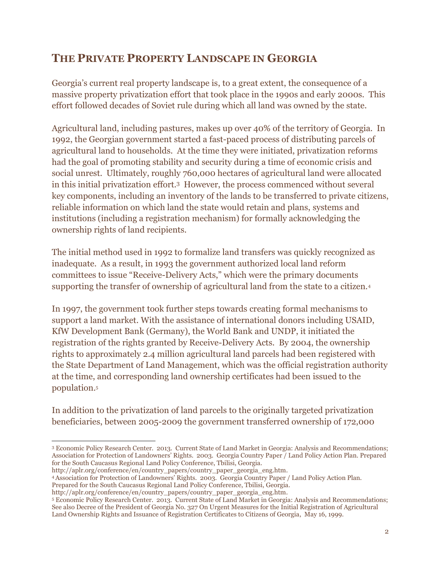### **THE PRIVATE PROPERTY LANDSCAPE IN GEORGIA**

Georgia's current real property landscape is, to a great extent, the consequence of a massive property privatization effort that took place in the 1990s and early 2000s. This effort followed decades of Soviet rule during which all land was owned by the state.

Agricultural land, including pastures, makes up over 40% of the territory of Georgia. In 1992, the Georgian government started a fast-paced process of distributing parcels of agricultural land to households. At the time they were initiated, privatization reforms had the goal of promoting stability and security during a time of economic crisis and social unrest. Ultimately, roughly 760,000 hectares of agricultural land were allocated in this initial privatization effort.<sup>3</sup> However, the process commenced without several key components, including an inventory of the lands to be transferred to private citizens, reliable information on which land the state would retain and plans, systems and institutions (including a registration mechanism) for formally acknowledging the ownership rights of land recipients.

The initial method used in 1992 to formalize land transfers was quickly recognized as inadequate. As a result, in 1993 the government authorized local land reform committees to issue "Receive-Delivery Acts," which were the primary documents supporting the transfer of ownership of agricultural land from the state to a citizen.<sup>4</sup>

In 1997, the government took further steps towards creating formal mechanisms to support a land market. With the assistance of international donors including USAID, KfW Development Bank (Germany), the World Bank and UNDP, it initiated the registration of the rights granted by Receive-Delivery Acts. By 2004, the ownership rights to approximately 2.4 million agricultural land parcels had been registered with the State Department of Land Management, which was the official registration authority at the time, and corresponding land ownership certificates had been issued to the population.<sup>5</sup>

In addition to the privatization of land parcels to the originally targeted privatization beneficiaries, between 2005-2009 the government transferred ownership of 172,000

Prepared for the South Caucasus Regional Land Policy Conference, Tbilisi, Georgia.

 $\overline{a}$ <sup>3</sup> Economic Policy Research Center. 2013. Current State of Land Market in Georgia: Analysis and Recommendations; Association for Protection of Landowners' Rights. 2003. Georgia Country Paper / Land Policy Action Plan. Prepared for the South Caucasus Regional Land Policy Conference, Tbilisi, Georgia.

[http://aplr.org/conference/en/country\\_papers/country\\_paper\\_georgia\\_eng.htm.](http://aplr.org/conference/en/country_papers/country_paper_georgia_eng.htm)

<sup>4</sup>Association for Protection of Landowners' Rights. 2003. Georgia Country Paper / Land Policy Action Plan.

[http://aplr.org/conference/en/country\\_papers/country\\_paper\\_georgia\\_eng.htm.](http://aplr.org/conference/en/country_papers/country_paper_georgia_eng.htm)

<sup>5</sup> Economic Policy Research Center. 2013. Current State of Land Market in Georgia: Analysis and Recommendations; See also Decree of the President of Georgia No. 327 On Urgent Measures for the Initial Registration of Agricultural Land Ownership Rights and Issuance of Registration Certificates to Citizens of Georgia, May 16, 1999.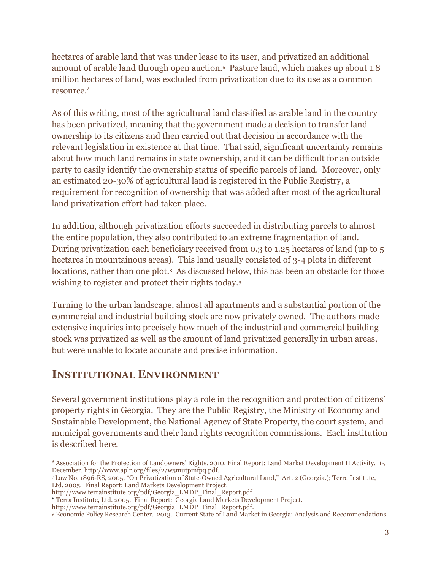hectares of arable land that was under lease to its user, and privatized an additional amount of arable land through open auction.<sup>6</sup> Pasture land, which makes up about 1.8 million hectares of land, was excluded from privatization due to its use as a common resource.<sup>7</sup>

As of this writing, most of the agricultural land classified as arable land in the country has been privatized, meaning that the government made a decision to transfer land ownership to its citizens and then carried out that decision in accordance with the relevant legislation in existence at that time. That said, significant uncertainty remains about how much land remains in state ownership, and it can be difficult for an outside party to easily identify the ownership status of specific parcels of land. Moreover, only an estimated 20-30% of agricultural land is registered in the Public Registry, a requirement for recognition of ownership that was added after most of the agricultural land privatization effort had taken place.

In addition, although privatization efforts succeeded in distributing parcels to almost the entire population, they also contributed to an extreme fragmentation of land. During privatization each beneficiary received from 0.3 to 1.25 hectares of land (up to 5 hectares in mountainous areas). This land usually consisted of 3-4 plots in different locations, rather than one plot. <sup>8</sup> As discussed below, this has been an obstacle for those wishing to register and protect their rights today.<sup>9</sup>

Turning to the urban landscape, almost all apartments and a substantial portion of the commercial and industrial building stock are now privately owned. The authors made extensive inquiries into precisely how much of the industrial and commercial building stock was privatized as well as the amount of land privatized generally in urban areas, but were unable to locate accurate and precise information.

### **INSTITUTIONAL ENVIRONMENT**

Several government institutions play a role in the recognition and protection of citizens' property rights in Georgia. They are the Public Registry, the Ministry of Economy and Sustainable Development, the National Agency of State Property, the court system, and municipal governments and their land rights recognition commissions. Each institution is described here.

 $\overline{a}$ <sup>6</sup> Association for the Protection of Landowners' Rights. 2010. Final Report: Land Market Development II Activity. 15 December. [http://www.aplr.org/files/2/w5mutpmfpq.pdf.](http://www.aplr.org/files/2/w5mutpmfpq.pdf) 

<sup>7</sup> Law No. 1896-RS, 2005, "On Privatization of State-Owned Agricultural Land," Art. 2 (Georgia.); Terra Institute, Ltd. 2005. Final Report: Land Markets Development Project.

[http://www.terrainstitute.org/pdf/Georgia\\_LMDP\\_Final\\_Report.pdf.](http://www.terrainstitute.org/pdf/Georgia_LMDP_Final_Report.pdf)

<sup>8</sup> Terra Institute, Ltd. 2005. Final Report: Georgia Land Markets Development Project.

[http://www.terrainstitute.org/pdf/Georgia\\_LMDP\\_Final\\_Report.pdf.](http://www.terrainstitute.org/pdf/Georgia_LMDP_Final_Report.pdf)

<sup>9</sup> Economic Policy Research Center. 2013. Current State of Land Market in Georgia: Analysis and Recommendations.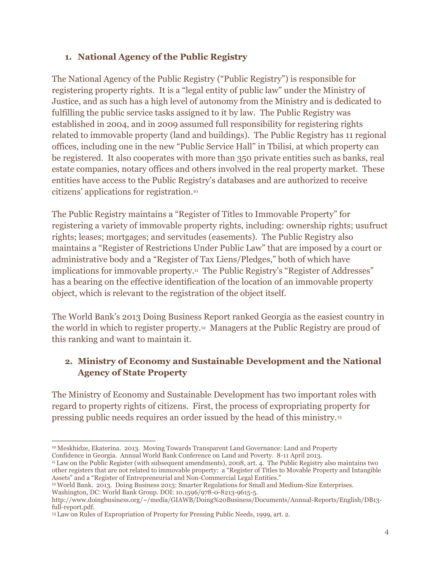#### **1. National Agency of the Public Registry**

The National Agency of the Public Registry ("Public Registry") is responsible for registering property rights. It is a "legal entity of public law" under the Ministry of Justice, and as such has a high level of autonomy from the Ministry and is dedicated to fulfilling the public service tasks assigned to it by law. The Public Registry was established in 2004, and in 2009 assumed full responsibility for registering rights related to immovable property (land and buildings). The Public Registry has 11 regional offices, including one in the new "Public Service Hall" in Tbilisi, at which property can be registered. It also cooperates with more than 350 private entities such as banks, real estate companies, notary offices and others involved in the real property market. These entities have access to the Public Registry's databases and are authorized to receive citizens' applications for registration.<sup>10</sup>

The Public Registry maintains a "Register of Titles to Immovable Property" for registering a variety of immovable property rights, including: ownership rights; usufruct rights; leases; mortgages; and servitudes (easements). The Public Registry also maintains a "Register of Restrictions Under Public Law" that are imposed by a court or administrative body and a "Register of Tax Liens/Pledges," both of which have implications for immovable property.<sup>11</sup> The Public Registry's "Register of Addresses" has a bearing on the effective identification of the location of an immovable property object, which is relevant to the registration of the object itself.

The World Bank's 2013 Doing Business Report ranked Georgia as the easiest country in the world in which to register property.<sup>12</sup> Managers at the Public Registry are proud of this ranking and want to maintain it.

#### **2. Ministry of Economy and Sustainable Development and the National Agency of State Property**

The Ministry of Economy and Sustainable Development has two important roles with regard to property rights of citizens. First, the process of expropriating property for pressing public needs requires an order issued by the head of this ministry.<sup>13</sup>

<sup>12</sup>World Bank. 2013. Doing Business 2013: Smarter Regulations for Small and Medium-Size Enterprises. Washington, DC: World Bank Group. DOI: 10.1596/978-0-8213-9615-5.

 $\overline{a}$ 

<sup>10</sup> Meskhidze, Ekaterina. 2013. Moving Towards Transparent Land Governance: Land and Property Confidence in Georgia. Annual World Bank Conference on Land and Poverty. 8-11 April 2013.

<sup>&</sup>lt;sup>11</sup> Law on the Public Register (with subsequent amendments), 2008, art. 4. The Public Registry also maintains two other registers that are not related to immovable property: a "Register of Titles to Movable Property and Intangible Assets" and a "Register of Entrepreneurial and Non-Commercial Legal Entities."

[http://www.doingbusiness.org/~/media/GIAWB/Doing%20Business/Documents/Annual-Reports/English/DB13](http://www.doingbusiness.org/~/media/GIAWB/Doing%20Business/Documents/Annual-Reports/English/DB13-full-report.pdf) [full-report.pdf.](http://www.doingbusiness.org/~/media/GIAWB/Doing%20Business/Documents/Annual-Reports/English/DB13-full-report.pdf)

<sup>&</sup>lt;sup>13</sup> Law on Rules of Expropriation of Property for Pressing Public Needs, 1999, art. 2.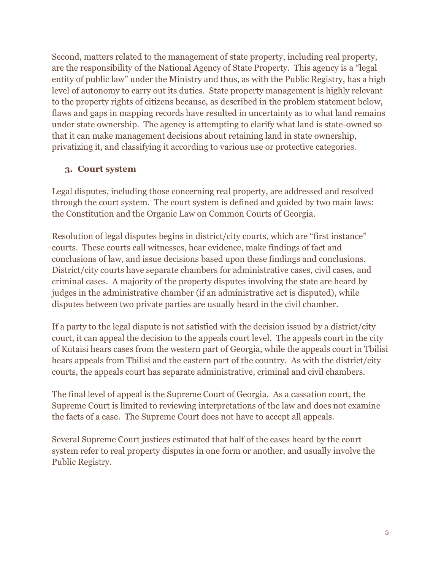Second, matters related to the management of state property, including real property, are the responsibility of the National Agency of State Property. This agency is a "legal entity of public law" under the Ministry and thus, as with the Public Registry, has a high level of autonomy to carry out its duties. State property management is highly relevant to the property rights of citizens because, as described in the problem statement below, flaws and gaps in mapping records have resulted in uncertainty as to what land remains under state ownership. The agency is attempting to clarify what land is state-owned so that it can make management decisions about retaining land in state ownership, privatizing it, and classifying it according to various use or protective categories.

#### **3. Court system**

Legal disputes, including those concerning real property, are addressed and resolved through the court system. The court system is defined and guided by two main laws: the Constitution and the Organic Law on Common Courts of Georgia.

Resolution of legal disputes begins in district/city courts, which are "first instance" courts. These courts call witnesses, hear evidence, make findings of fact and conclusions of law, and issue decisions based upon these findings and conclusions. District/city courts have separate chambers for administrative cases, civil cases, and criminal cases. A majority of the property disputes involving the state are heard by judges in the administrative chamber (if an administrative act is disputed), while disputes between two private parties are usually heard in the civil chamber.

If a party to the legal dispute is not satisfied with the decision issued by a district/city court, it can appeal the decision to the appeals court level. The appeals court in the city of Kutaisi hears cases from the western part of Georgia, while the appeals court in Tbilisi hears appeals from Tbilisi and the eastern part of the country. As with the district/city courts, the appeals court has separate administrative, criminal and civil chambers.

The final level of appeal is the Supreme Court of Georgia. As a cassation court, the Supreme Court is limited to reviewing interpretations of the law and does not examine the facts of a case. The Supreme Court does not have to accept all appeals.

Several Supreme Court justices estimated that half of the cases heard by the court system refer to real property disputes in one form or another, and usually involve the Public Registry.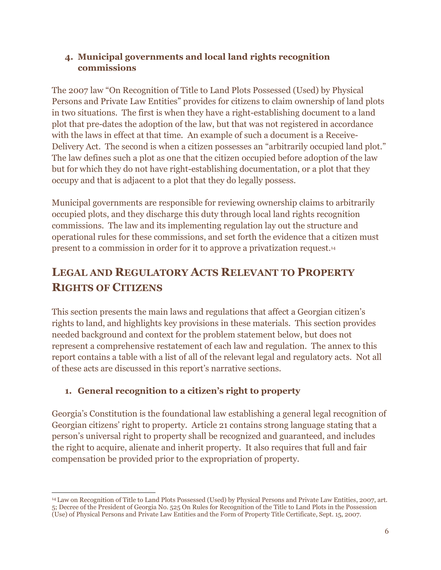#### **4. Municipal governments and local land rights recognition commissions**

The 2007 law "On Recognition of Title to Land Plots Possessed (Used) by Physical Persons and Private Law Entities" provides for citizens to claim ownership of land plots in two situations. The first is when they have a right-establishing document to a land plot that pre-dates the adoption of the law, but that was not registered in accordance with the laws in effect at that time. An example of such a document is a Receive-Delivery Act. The second is when a citizen possesses an "arbitrarily occupied land plot." The law defines such a plot as one that the citizen occupied before adoption of the law but for which they do not have right-establishing documentation, or a plot that they occupy and that is adjacent to a plot that they do legally possess.

Municipal governments are responsible for reviewing ownership claims to arbitrarily occupied plots, and they discharge this duty through local land rights recognition commissions. The law and its implementing regulation lay out the structure and operational rules for these commissions, and set forth the evidence that a citizen must present to a commission in order for it to approve a privatization request.<sup>14</sup>

### **LEGAL AND REGULATORY ACTS RELEVANT TO PROPERTY RIGHTS OF CITIZENS**

This section presents the main laws and regulations that affect a Georgian citizen's rights to land, and highlights key provisions in these materials. This section provides needed background and context for the problem statement below, but does not represent a comprehensive restatement of each law and regulation. The annex to this report contains a table with a list of all of the relevant legal and regulatory acts. Not all of these acts are discussed in this report's narrative sections.

#### **1. General recognition to a citizen's right to property**

Georgia's Constitution is the foundational law establishing a general legal recognition of Georgian citizens' right to property. Article 21 contains strong language stating that a person's universal right to property shall be recognized and guaranteed, and includes the right to acquire, alienate and inherit property. It also requires that full and fair compensation be provided prior to the expropriation of property.

 $\overline{a}$ <sup>14</sup> Law on Recognition of Title to Land Plots Possessed (Used) by Physical Persons and Private Law Entities, 2007, art. 5; Decree of the President of Georgia No. 525 On Rules for Recognition of the Title to Land Plots in the Possession (Use) of Physical Persons and Private Law Entities and the Form of Property Title Certificate, Sept. 15, 2007.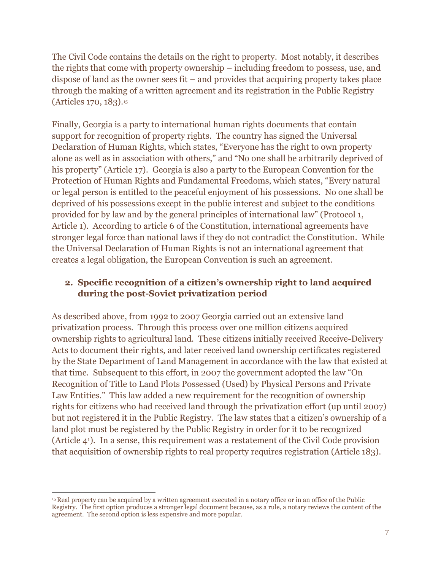The Civil Code contains the details on the right to property. Most notably, it describes the rights that come with property ownership – including freedom to possess, use, and dispose of land as the owner sees fit – and provides that acquiring property takes place through the making of a written agreement and its registration in the Public Registry (Articles 170, 183).<sup>15</sup>

Finally, Georgia is a party to international human rights documents that contain support for recognition of property rights. The country has signed the Universal Declaration of Human Rights, which states, "Everyone has the right to own property alone as well as in association with others," and "No one shall be arbitrarily deprived of his property" (Article 17). Georgia is also a party to the European Convention for the Protection of Human Rights and Fundamental Freedoms, which states, "Every natural or legal person is entitled to the peaceful enjoyment of his possessions. No one shall be deprived of his possessions except in the public interest and subject to the conditions provided for by law and by the general principles of international law" (Protocol 1, Article 1). According to article 6 of the Constitution, international agreements have stronger legal force than national laws if they do not contradict the Constitution. While the Universal Declaration of Human Rights is not an international agreement that creates a legal obligation, the European Convention is such an agreement.

#### **2. Specific recognition of a citizen's ownership right to land acquired during the post-Soviet privatization period**

As described above, from 1992 to 2007 Georgia carried out an extensive land privatization process. Through this process over one million citizens acquired ownership rights to agricultural land. These citizens initially received Receive-Delivery Acts to document their rights, and later received land ownership certificates registered by the State Department of Land Management in accordance with the law that existed at that time. Subsequent to this effort, in 2007 the government adopted the law "On Recognition of Title to Land Plots Possessed (Used) by Physical Persons and Private Law Entities." This law added a new requirement for the recognition of ownership rights for citizens who had received land through the privatization effort (up until 2007) but not registered it in the Public Registry. The law states that a citizen's ownership of a land plot must be registered by the Public Registry in order for it to be recognized (Article 41). In a sense, this requirement was a restatement of the Civil Code provision that acquisition of ownership rights to real property requires registration (Article 183).

 $\overline{a}$ 

<sup>15</sup> Real property can be acquired by a written agreement executed in a notary office or in an office of the Public Registry. The first option produces a stronger legal document because, as a rule, a notary reviews the content of the agreement. The second option is less expensive and more popular.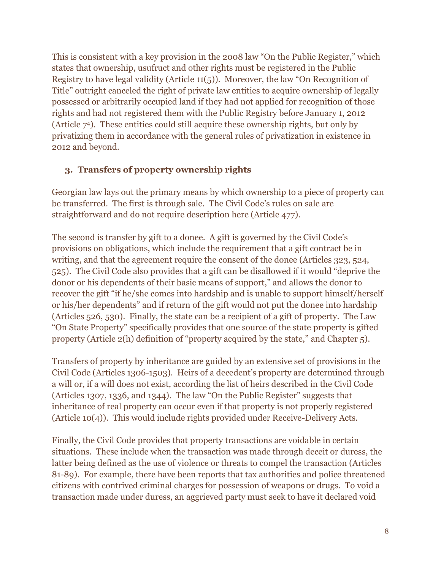This is consistent with a key provision in the 2008 law "On the Public Register," which states that ownership, usufruct and other rights must be registered in the Public Registry to have legal validity (Article 11(5)). Moreover, the law "On Recognition of Title" outright canceled the right of private law entities to acquire ownership of legally possessed or arbitrarily occupied land if they had not applied for recognition of those rights and had not registered them with the Public Registry before January 1, 2012 (Article 74). These entities could still acquire these ownership rights, but only by privatizing them in accordance with the general rules of privatization in existence in 2012 and beyond.

#### **3. Transfers of property ownership rights**

Georgian law lays out the primary means by which ownership to a piece of property can be transferred. The first is through sale. The Civil Code's rules on sale are straightforward and do not require description here (Article 477).

The second is transfer by gift to a donee. A gift is governed by the Civil Code's provisions on obligations, which include the requirement that a gift contract be in writing, and that the agreement require the consent of the donee (Articles 323, 524, 525). The Civil Code also provides that a gift can be disallowed if it would "deprive the donor or his dependents of their basic means of support," and allows the donor to recover the gift "if he/she comes into hardship and is unable to support himself/herself or his/her dependents" and if return of the gift would not put the donee into hardship (Articles 526, 530). Finally, the state can be a recipient of a gift of property. The Law "On State Property" specifically provides that one source of the state property is gifted property (Article 2(h) definition of "property acquired by the state," and Chapter 5).

Transfers of property by inheritance are guided by an extensive set of provisions in the Civil Code (Articles 1306-1503). Heirs of a decedent's property are determined through a will or, if a will does not exist, according the list of heirs described in the Civil Code (Articles 1307, 1336, and 1344). The law "On the Public Register" suggests that inheritance of real property can occur even if that property is not properly registered (Article 10(4)). This would include rights provided under Receive-Delivery Acts.

Finally, the Civil Code provides that property transactions are voidable in certain situations. These include when the transaction was made through deceit or duress, the latter being defined as the use of violence or threats to compel the transaction (Articles 81-89). For example, there have been reports that tax authorities and police threatened citizens with contrived criminal charges for possession of weapons or drugs. To void a transaction made under duress, an aggrieved party must seek to have it declared void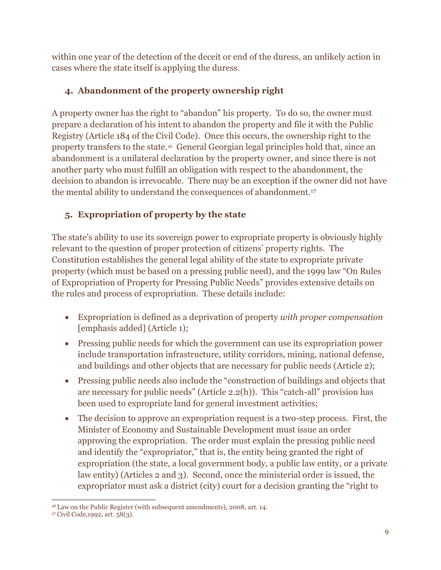within one year of the detection of the deceit or end of the duress, an unlikely action in cases where the state itself is applying the duress.

#### **4. Abandonment of the property ownership right**

A property owner has the right to "abandon" his property. To do so, the owner must prepare a declaration of his intent to abandon the property and file it with the Public Registry (Article 184 of the Civil Code). Once this occurs, the ownership right to the property transfers to the state.16 General Georgian legal principles hold that, since an abandonment is a unilateral declaration by the property owner, and since there is not another party who must fulfill an obligation with respect to the abandonment, the decision to abandon is irrevocable. There may be an exception if the owner did not have the mental ability to understand the consequences of abandonment.<sup>17</sup>

### **5. Expropriation of property by the state**

The state's ability to use its sovereign power to expropriate property is obviously highly relevant to the question of proper protection of citizens' property rights. The Constitution establishes the general legal ability of the state to expropriate private property (which must be based on a pressing public need), and the 1999 law "On Rules of Expropriation of Property for Pressing Public Needs" provides extensive details on the rules and process of expropriation. These details include:

- Expropriation is defined as a deprivation of property *with proper compensation* [emphasis added] (Article 1);
- Pressing public needs for which the government can use its expropriation power include transportation infrastructure, utility corridors, mining, national defense, and buildings and other objects that are necessary for public needs (Article 2);
- Pressing public needs also include the "construction of buildings and objects that are necessary for public needs" (Article 2.2(h)). This "catch-all" provision has been used to expropriate land for general investment activities;
- The decision to approve an expropriation request is a two-step process. First, the Minister of Economy and Sustainable Development must issue an order approving the expropriation. The order must explain the pressing public need and identify the "expropriator," that is, the entity being granted the right of expropriation (the state, a local government body, a public law entity, or a private law entity) (Articles 2 and 3). Second, once the ministerial order is issued, the expropriator must ask a district (city) court for a decision granting the "right to

 $\overline{a}$ <sup>16</sup> Law on the Public Register (with subsequent amendments), 2008, art. 14.

<sup>17</sup>Civil Code,1992, art. 58(3).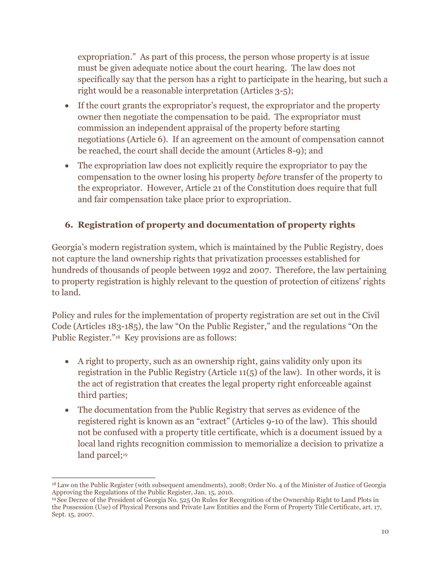expropriation." As part of this process, the person whose property is at issue must be given adequate notice about the court hearing. The law does not specifically say that the person has a right to participate in the hearing, but such a right would be a reasonable interpretation (Articles 3-5);

- If the court grants the expropriator's request, the expropriator and the property owner then negotiate the compensation to be paid. The expropriator must commission an independent appraisal of the property before starting negotiations (Article 6). If an agreement on the amount of compensation cannot be reached, the court shall decide the amount (Articles 8-9); and
- The expropriation law does not explicitly require the expropriator to pay the compensation to the owner losing his property *before* transfer of the property to the expropriator. However, Article 21 of the Constitution does require that full and fair compensation take place prior to expropriation.

#### **6. Registration of property and documentation of property rights**

Georgia's modern registration system, which is maintained by the Public Registry, does not capture the land ownership rights that privatization processes established for hundreds of thousands of people between 1992 and 2007. Therefore, the law pertaining to property registration is highly relevant to the question of protection of citizens' rights to land.

Policy and rules for the implementation of property registration are set out in the Civil Code (Articles 183-185), the law "On the Public Register," and the regulations "On the Public Register."18 Key provisions are as follows:

- A right to property, such as an ownership right, gains validity only upon its registration in the Public Registry (Article 11(5) of the law). In other words, it is the act of registration that creates the legal property right enforceable against third parties;
- The documentation from the Public Registry that serves as evidence of the registered right is known as an "extract" (Articles 9-10 of the law). This should not be confused with a property title certificate, which is a document issued by a local land rights recognition commission to memorialize a decision to privatize a land parcel;<sup>19</sup>

 $\overline{a}$ <sup>18</sup> Law on the Public Register (with subsequent amendments), 2008; Order No. 4 of the Minister of Justice of Georgia Approving the Regulations of the Public Register, Jan. 15, 2010.

<sup>19</sup> See Decree of the President of Georgia No. 525 On Rules for Recognition of the Ownership Right to Land Plots in the Possession (Use) of Physical Persons and Private Law Entities and the Form of Property Title Certificate, art. 17, Sept. 15, 2007.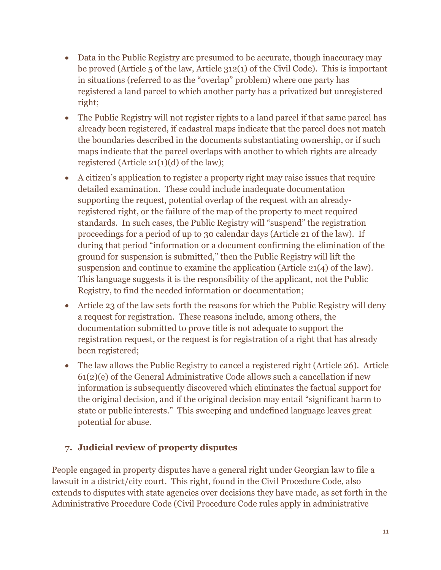- Data in the Public Registry are presumed to be accurate, though inaccuracy may be proved (Article 5 of the law, Article 312(1) of the Civil Code). This is important in situations (referred to as the "overlap" problem) where one party has registered a land parcel to which another party has a privatized but unregistered right;
- The Public Registry will not register rights to a land parcel if that same parcel has already been registered, if cadastral maps indicate that the parcel does not match the boundaries described in the documents substantiating ownership, or if such maps indicate that the parcel overlaps with another to which rights are already registered (Article 21(1)(d) of the law);
- A citizen's application to register a property right may raise issues that require detailed examination. These could include inadequate documentation supporting the request, potential overlap of the request with an alreadyregistered right, or the failure of the map of the property to meet required standards. In such cases, the Public Registry will "suspend" the registration proceedings for a period of up to 30 calendar days (Article 21 of the law). If during that period "information or a document confirming the elimination of the ground for suspension is submitted," then the Public Registry will lift the suspension and continue to examine the application (Article 21(4) of the law). This language suggests it is the responsibility of the applicant, not the Public Registry, to find the needed information or documentation;
- Article 23 of the law sets forth the reasons for which the Public Registry will deny a request for registration. These reasons include, among others, the documentation submitted to prove title is not adequate to support the registration request, or the request is for registration of a right that has already been registered;
- The law allows the Public Registry to cancel a registered right (Article 26). Article 61(2)(e) of the General Administrative Code allows such a cancellation if new information is subsequently discovered which eliminates the factual support for the original decision, and if the original decision may entail "significant harm to state or public interests." This sweeping and undefined language leaves great potential for abuse.

#### **7. Judicial review of property disputes**

People engaged in property disputes have a general right under Georgian law to file a lawsuit in a district/city court. This right, found in the Civil Procedure Code, also extends to disputes with state agencies over decisions they have made, as set forth in the Administrative Procedure Code (Civil Procedure Code rules apply in administrative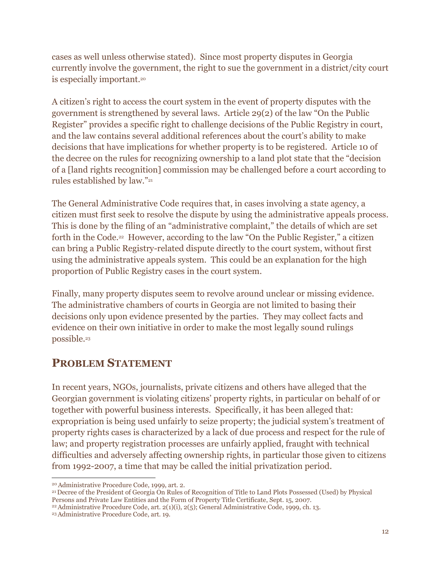cases as well unless otherwise stated). Since most property disputes in Georgia currently involve the government, the right to sue the government in a district/city court is especially important.<sup>20</sup>

A citizen's right to access the court system in the event of property disputes with the government is strengthened by several laws. Article 29(2) of the law "On the Public Register" provides a specific right to challenge decisions of the Public Registry in court, and the law contains several additional references about the court's ability to make decisions that have implications for whether property is to be registered. Article 10 of the decree on the rules for recognizing ownership to a land plot state that the "decision of a [land rights recognition] commission may be challenged before a court according to rules established by law."<sup>21</sup>

The General Administrative Code requires that, in cases involving a state agency, a citizen must first seek to resolve the dispute by using the administrative appeals process. This is done by the filing of an "administrative complaint," the details of which are set forth in the Code.<sup>22</sup> However, according to the law "On the Public Register," a citizen can bring a Public Registry-related dispute directly to the court system, without first using the administrative appeals system. This could be an explanation for the high proportion of Public Registry cases in the court system.

Finally, many property disputes seem to revolve around unclear or missing evidence. The administrative chambers of courts in Georgia are not limited to basing their decisions only upon evidence presented by the parties. They may collect facts and evidence on their own initiative in order to make the most legally sound rulings possible.<sup>23</sup>

### **PROBLEM STATEMENT**

In recent years, NGOs, journalists, private citizens and others have alleged that the Georgian government is violating citizens' property rights, in particular on behalf of or together with powerful business interests. Specifically, it has been alleged that: expropriation is being used unfairly to seize property; the judicial system's treatment of property rights cases is characterized by a lack of due process and respect for the rule of law; and property registration processes are unfairly applied, fraught with technical difficulties and adversely affecting ownership rights, in particular those given to citizens from 1992-2007, a time that may be called the initial privatization period.

 $\overline{a}$ <sup>20</sup>Administrative Procedure Code, 1999, art. 2.

<sup>21</sup> Decree of the President of Georgia On Rules of Recognition of Title to Land Plots Possessed (Used) by Physical Persons and Private Law Entities and the Form of Property Title Certificate, Sept. 15, 2007.

<sup>&</sup>lt;sup>22</sup> Administrative Procedure Code, art.  $2(1)(i)$ ,  $2(5)$ ; General Administrative Code, 1999, ch. 13.

<sup>23</sup>Administrative Procedure Code, art. 19.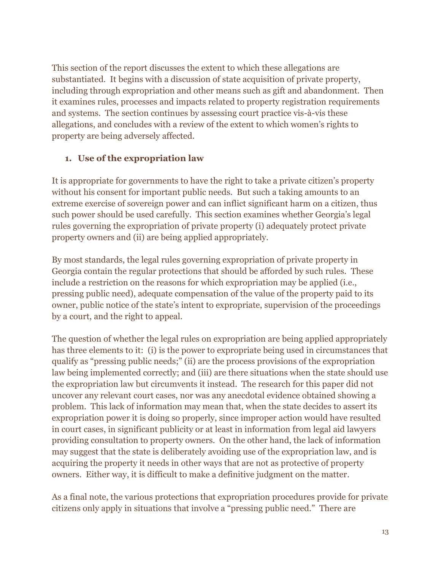This section of the report discusses the extent to which these allegations are substantiated. It begins with a discussion of state acquisition of private property, including through expropriation and other means such as gift and abandonment. Then it examines rules, processes and impacts related to property registration requirements and systems. The section continues by assessing court practice vis-à-vis these allegations, and concludes with a review of the extent to which women's rights to property are being adversely affected.

#### **1. Use of the expropriation law**

It is appropriate for governments to have the right to take a private citizen's property without his consent for important public needs. But such a taking amounts to an extreme exercise of sovereign power and can inflict significant harm on a citizen, thus such power should be used carefully. This section examines whether Georgia's legal rules governing the expropriation of private property (i) adequately protect private property owners and (ii) are being applied appropriately.

By most standards, the legal rules governing expropriation of private property in Georgia contain the regular protections that should be afforded by such rules. These include a restriction on the reasons for which expropriation may be applied (i.e., pressing public need), adequate compensation of the value of the property paid to its owner, public notice of the state's intent to expropriate, supervision of the proceedings by a court, and the right to appeal.

The question of whether the legal rules on expropriation are being applied appropriately has three elements to it: (i) is the power to expropriate being used in circumstances that qualify as "pressing public needs;" (ii) are the process provisions of the expropriation law being implemented correctly; and (iii) are there situations when the state should use the expropriation law but circumvents it instead. The research for this paper did not uncover any relevant court cases, nor was any anecdotal evidence obtained showing a problem. This lack of information may mean that, when the state decides to assert its expropriation power it is doing so properly, since improper action would have resulted in court cases, in significant publicity or at least in information from legal aid lawyers providing consultation to property owners. On the other hand, the lack of information may suggest that the state is deliberately avoiding use of the expropriation law, and is acquiring the property it needs in other ways that are not as protective of property owners. Either way, it is difficult to make a definitive judgment on the matter.

As a final note, the various protections that expropriation procedures provide for private citizens only apply in situations that involve a "pressing public need." There are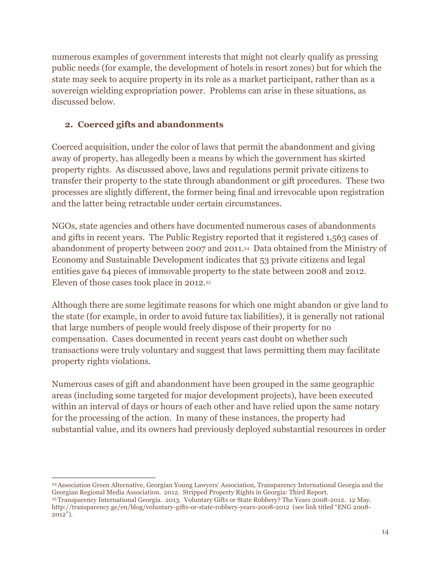numerous examples of government interests that might not clearly qualify as pressing public needs (for example, the development of hotels in resort zones) but for which the state may seek to acquire property in its role as a market participant, rather than as a sovereign wielding expropriation power. Problems can arise in these situations, as discussed below.

#### **2. Coerced gifts and abandonments**

Coerced acquisition, under the color of laws that permit the abandonment and giving away of property, has allegedly been a means by which the government has skirted property rights. As discussed above, laws and regulations permit private citizens to transfer their property to the state through abandonment or gift procedures. These two processes are slightly different, the former being final and irrevocable upon registration and the latter being retractable under certain circumstances.

NGOs, state agencies and others have documented numerous cases of abandonments and gifts in recent years. The Public Registry reported that it registered 1,563 cases of abandonment of property between 2007 and 2011. <sup>24</sup> Data obtained from the Ministry of Economy and Sustainable Development indicates that 53 private citizens and legal entities gave 64 pieces of immovable property to the state between 2008 and 2012. Eleven of those cases took place in 2012.<sup>25</sup>

Although there are some legitimate reasons for which one might abandon or give land to the state (for example, in order to avoid future tax liabilities), it is generally not rational that large numbers of people would freely dispose of their property for no compensation. Cases documented in recent years cast doubt on whether such transactions were truly voluntary and suggest that laws permitting them may facilitate property rights violations.

Numerous cases of gift and abandonment have been grouped in the same geographic areas (including some targeted for major development projects), have been executed within an interval of days or hours of each other and have relied upon the same notary for the processing of the action. In many of these instances, the property had substantial value, and its owners had previously deployed substantial resources in order

 $\overline{a}$ <sup>24</sup>Association Green Alternative, Georgian Young Lawyers' Association, Transparency International Georgia and the Georgian Regional Media Association. 2012. Stripped Property Rights in Georgia: Third Report.

<sup>25</sup>Transparency International Georgia. 2013. Voluntary Gifts or State Robbery? The Years 2008-2012. 12 May. <http://transparency.ge/en/blog/voluntary-gifts-or-state-robbery-years-2008-2012>(see link titled "ENG 2008- 2012").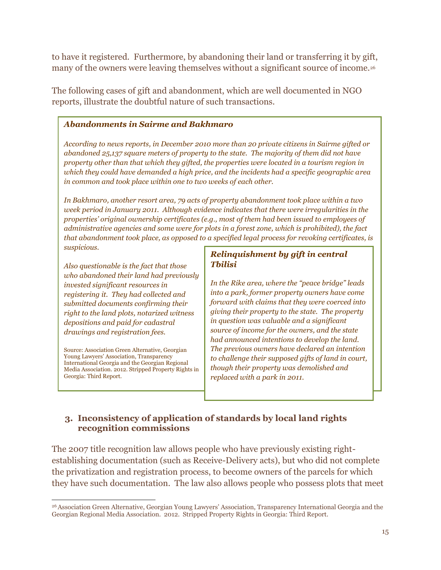to have it registered. Furthermore, by abandoning their land or transferring it by gift, many of the owners were leaving themselves without a significant source of income.<sup>26</sup>

The following cases of gift and abandonment, which are well documented in NGO reports, illustrate the doubtful nature of such transactions.

#### *Abandonments in Sairme and Bakhmaro*

*According to news reports, in December 2010 more than 20 private citizens in Sairme gifted or abandoned 25,137 square meters of property to the state. The majority of them did not have property other than that which they gifted, the properties were located in a tourism region in which they could have demanded a high price, and the incidents had a specific geographic area in common and took place within one to two weeks of each other.*

*In Bakhmaro, another resort area, 79 acts of property abandonment took place within a two week period in January 2011. Although evidence indicates that there were irregularities in the properties' original ownership certificates (e.g., most of them had been issued to employees of administrative agencies and some were for plots in a forest zone, which is prohibited), the fact that abandonment took place, as opposed to a specified legal process for revoking certificates, is suspicious.* 

*Also questionable is the fact that those who abandoned their land had previously invested significant resources in registering it. They had collected and submitted documents confirming their right to the land plots, notarized witness depositions and paid for cadastral drawings and registration fees.*

Source: Association Green Alternative, Georgian Young Lawyers' Association, Transparency International Georgia and the Georgian Regional Media Association. 2012. Stripped Property Rights in Georgia: Third Report.

#### *Relinquishment by gift in central Tbilisi*

*In the Rike area, where the "peace bridge" leads into a park, former property owners have come forward with claims that they were coerced into giving their property to the state. The property in question was valuable and a significant source of income for the owners, and the state had announced intentions to develop the land. The previous owners have declared an intention to challenge their supposed gifts of land in court, though their property was demolished and replaced with a park in 2011.*

#### **3. Inconsistency of application of standards by local land rights recognition commissions**

The 2007 title recognition law allows people who have previously existing rightestablishing documentation (such as Receive-Delivery acts), but who did not complete the privatization and registration process, to become owners of the parcels for which they have such documentation. The law also allows people who possess plots that meet

 $\overline{a}$ <sup>26</sup>Association Green Alternative, Georgian Young Lawyers' Association, Transparency International Georgia and the Georgian Regional Media Association. 2012. Stripped Property Rights in Georgia: Third Report.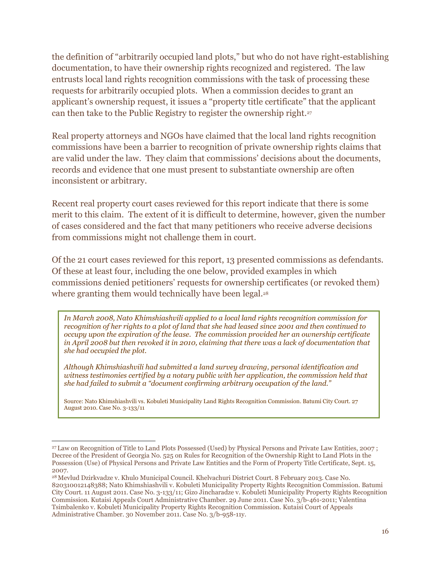the definition of "arbitrarily occupied land plots," but who do not have right-establishing documentation, to have their ownership rights recognized and registered. The law entrusts local land rights recognition commissions with the task of processing these requests for arbitrarily occupied plots. When a commission decides to grant an applicant's ownership request, it issues a "property title certificate" that the applicant can then take to the Public Registry to register the ownership right.<sup>27</sup>

Real property attorneys and NGOs have claimed that the local land rights recognition commissions have been a barrier to recognition of private ownership rights claims that are valid under the law. They claim that commissions' decisions about the documents, records and evidence that one must present to substantiate ownership are often inconsistent or arbitrary.

Recent real property court cases reviewed for this report indicate that there is some merit to this claim. The extent of it is difficult to determine, however, given the number of cases considered and the fact that many petitioners who receive adverse decisions from commissions might not challenge them in court.

Of the 21 court cases reviewed for this report, 13 presented commissions as defendants. Of these at least four, including the one below, provided examples in which commissions denied petitioners' requests for ownership certificates (or revoked them) where granting them would technically have been legal.<sup>28</sup>

*In March 2008, Nato Khimshiashvili applied to a local land rights recognition commission for recognition of her rights to a plot of land that she had leased since 2001 and then continued to occupy upon the expiration of the lease. The commission provided her an ownership certificate in April 2008 but then revoked it in 2010, claiming that there was a lack of documentation that she had occupied the plot.* 

*Although Khimshiashvili had submitted a land survey drawing, personal identification and witness testimonies certified by a notary public with her application, the commission held that she had failed to submit a "document confirming arbitrary occupation of the land."*

Source: Nato Khimshiashvili vs. Kobuleti Municipality Land Rights Recognition Commission. Batumi City Court. 27 August 2010. Case No. 3-133/11

 $\overline{a}$ 

<sup>27</sup> Law on Recognition of Title to Land Plots Possessed (Used) by Physical Persons and Private Law Entities, 2007 ; Decree of the President of Georgia No. 525 on Rules for Recognition of the Ownership Right to Land Plots in the Possession (Use) of Physical Persons and Private Law Entities and the Form of Property Title Certificate, Sept. 15, 2007.

<sup>28</sup> Mevlud Dzirkvadze v. Khulo Municipal Council. Khelvachuri District Court. 8 February 2013. Case No. 820310012148388; Nato Khimshiashvili v. Kobuleti Municipality Property Rights Recognition Commission. Batumi City Court. 11 August 2011. Case No. 3-133/11; Gizo Jincharadze v. Kobuleti Municipality Property Rights Recognition Commission. Kutaisi Appeals Court Administrative Chamber. 29 June 2011. Case No. 3/b-461-2011; Valentina Tsimbalenko v. Kobuleti Municipality Property Rights Recognition Commission. Kutaisi Court of Appeals Administrative Chamber. 30 November 2011. Case No. 3/b-958-11y.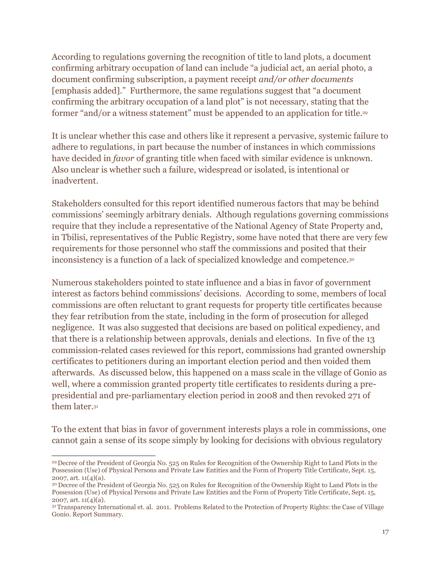According to regulations governing the recognition of title to land plots, a document confirming arbitrary occupation of land can include "a judicial act, an aerial photo, a document confirming subscription, a payment receipt *and/or other documents* [emphasis added]." Furthermore, the same regulations suggest that "a document confirming the arbitrary occupation of a land plot" is not necessary, stating that the former "and/or a witness statement" must be appended to an application for title.<sup>29</sup>

It is unclear whether this case and others like it represent a pervasive, systemic failure to adhere to regulations, in part because the number of instances in which commissions have decided in *favor* of granting title when faced with similar evidence is unknown. Also unclear is whether such a failure, widespread or isolated, is intentional or inadvertent.

Stakeholders consulted for this report identified numerous factors that may be behind commissions' seemingly arbitrary denials. Although regulations governing commissions require that they include a representative of the National Agency of State Property and, in Tbilisi, representatives of the Public Registry, some have noted that there are very few requirements for those personnel who staff the commissions and posited that their inconsistency is a function of a lack of specialized knowledge and competence. 30

Numerous stakeholders pointed to state influence and a bias in favor of government interest as factors behind commissions' decisions. According to some, members of local commissions are often reluctant to grant requests for property title certificates because they fear retribution from the state, including in the form of prosecution for alleged negligence. It was also suggested that decisions are based on political expediency, and that there is a relationship between approvals, denials and elections. In five of the 13 commission-related cases reviewed for this report, commissions had granted ownership certificates to petitioners during an important election period and then voided them afterwards. As discussed below, this happened on a mass scale in the village of Gonio as well, where a commission granted property title certificates to residents during a prepresidential and pre-parliamentary election period in 2008 and then revoked 271 of them later.<sup>31</sup>

To the extent that bias in favor of government interests plays a role in commissions, one cannot gain a sense of its scope simply by looking for decisions with obvious regulatory

 $\overline{a}$ <sup>29</sup> Decree of the President of Georgia No. 525 on Rules for Recognition of the Ownership Right to Land Plots in the Possession (Use) of Physical Persons and Private Law Entities and the Form of Property Title Certificate, Sept. 15, 2007, art. 11(4)(a).

<sup>30</sup> Decree of the President of Georgia No. 525 on Rules for Recognition of the Ownership Right to Land Plots in the Possession (Use) of Physical Persons and Private Law Entities and the Form of Property Title Certificate, Sept. 15, 2007, art.  $11(4)(a)$ .

<sup>31</sup>Transparency International et. al. 2011. Problems Related to the Protection of Property Rights: the Case of Village Gonio. Report Summary.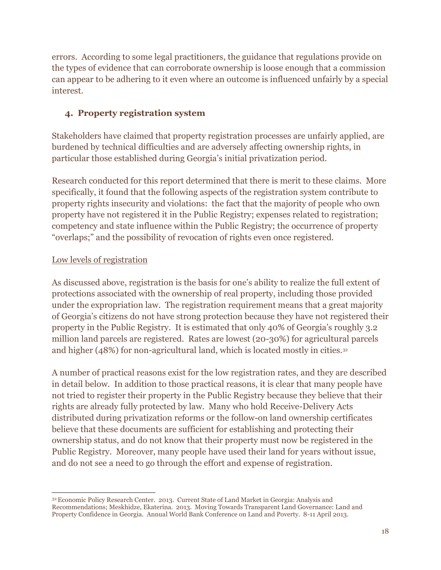errors. According to some legal practitioners, the guidance that regulations provide on the types of evidence that can corroborate ownership is loose enough that a commission can appear to be adhering to it even where an outcome is influenced unfairly by a special interest.

#### **4. Property registration system**

Stakeholders have claimed that property registration processes are unfairly applied, are burdened by technical difficulties and are adversely affecting ownership rights, in particular those established during Georgia's initial privatization period.

Research conducted for this report determined that there is merit to these claims. More specifically, it found that the following aspects of the registration system contribute to property rights insecurity and violations: the fact that the majority of people who own property have not registered it in the Public Registry; expenses related to registration; competency and state influence within the Public Registry; the occurrence of property "overlaps;" and the possibility of revocation of rights even once registered.

#### Low levels of registration

As discussed above, registration is the basis for one's ability to realize the full extent of protections associated with the ownership of real property, including those provided under the expropriation law. The registration requirement means that a great majority of Georgia's citizens do not have strong protection because they have not registered their property in the Public Registry. It is estimated that only 40% of Georgia's roughly 3.2 million land parcels are registered. Rates are lowest (20-30%) for agricultural parcels and higher (48%) for non-agricultural land, which is located mostly in cities.<sup>32</sup>

A number of practical reasons exist for the low registration rates, and they are described in detail below. In addition to those practical reasons, it is clear that many people have not tried to register their property in the Public Registry because they believe that their rights are already fully protected by law. Many who hold Receive-Delivery Acts distributed during privatization reforms or the follow-on land ownership certificates believe that these documents are sufficient for establishing and protecting their ownership status, and do not know that their property must now be registered in the Public Registry. Moreover, many people have used their land for years without issue, and do not see a need to go through the effort and expense of registration.

 $\overline{a}$ <sup>32</sup>Economic Policy Research Center. 2013. Current State of Land Market in Georgia: Analysis and Recommendations; Meskhidze, Ekaterina. 2013. Moving Towards Transparent Land Governance: Land and Property Confidence in Georgia. Annual World Bank Conference on Land and Poverty. 8-11 April 2013.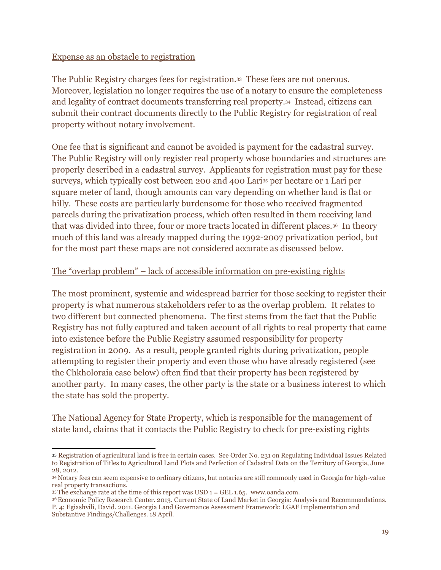#### Expense as an obstacle to registration

The Public Registry charges fees for registration.33 These fees are not onerous. Moreover, legislation no longer requires the use of a notary to ensure the completeness and legality of contract documents transferring real property.34 Instead, citizens can submit their contract documents directly to the Public Registry for registration of real property without notary involvement.

One fee that is significant and cannot be avoided is payment for the cadastral survey. The Public Registry will only register real property whose boundaries and structures are properly described in a cadastral survey. Applicants for registration must pay for these surveys, which typically cost between 200 and 400 Lari<sup>35</sup> per hectare or 1 Lari per square meter of land, though amounts can vary depending on whether land is flat or hilly. These costs are particularly burdensome for those who received fragmented parcels during the privatization process, which often resulted in them receiving land that was divided into three, four or more tracts located in different places.36 In theory much of this land was already mapped during the 1992-2007 privatization period, but for the most part these maps are not considered accurate as discussed below.

#### The "overlap problem" – lack of accessible information on pre-existing rights

The most prominent, systemic and widespread barrier for those seeking to register their property is what numerous stakeholders refer to as the overlap problem. It relates to two different but connected phenomena. The first stems from the fact that the Public Registry has not fully captured and taken account of all rights to real property that came into existence before the Public Registry assumed responsibility for property registration in 2009. As a result, people granted rights during privatization, people attempting to register their property and even those who have already registered (see the Chkholoraia case below) often find that their property has been registered by another party. In many cases, the other party is the state or a business interest to which the state has sold the property.

The National Agency for State Property, which is responsible for the management of state land, claims that it contacts the Public Registry to check for pre-existing rights

 $\overline{a}$ <sup>33</sup> Registration of agricultural land is free in certain cases. See Order No. 231 on Regulating Individual Issues Related to Registration of Titles to Agricultural Land Plots and Perfection of Cadastral Data on the Territory of Georgia, June 28, 2012.

<sup>34</sup> Notary fees can seem expensive to ordinary citizens, but notaries are still commonly used in Georgia for high-value real property transactions.

 $35$ The exchange rate at the time of this report was USD  $1 = GEL$  1.65. [www.oanda.com.](http://www.oanda.com/)

<sup>36</sup>Economic Policy Research Center. 2013. Current State of Land Market in Georgia: Analysis and Recommendations. P. 4; Egiashvili, David. 2011. Georgia Land Governance Assessment Framework: LGAF Implementation and Substantive Findings/Challenges. 18 April.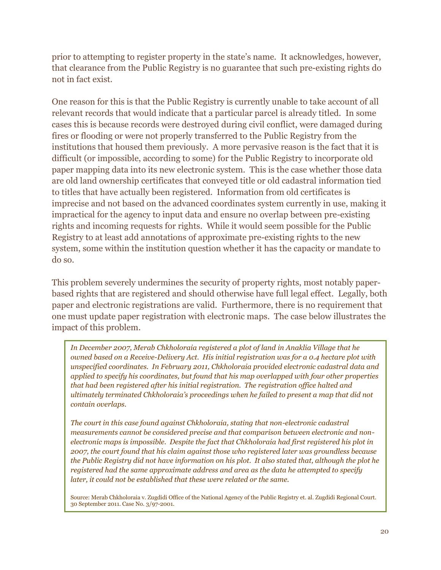prior to attempting to register property in the state's name. It acknowledges, however, that clearance from the Public Registry is no guarantee that such pre-existing rights do not in fact exist.

One reason for this is that the Public Registry is currently unable to take account of all relevant records that would indicate that a particular parcel is already titled. In some cases this is because records were destroyed during civil conflict, were damaged during fires or flooding or were not properly transferred to the Public Registry from the institutions that housed them previously. A more pervasive reason is the fact that it is difficult (or impossible, according to some) for the Public Registry to incorporate old paper mapping data into its new electronic system. This is the case whether those data are old land ownership certificates that conveyed title or old cadastral information tied to titles that have actually been registered. Information from old certificates is imprecise and not based on the advanced coordinates system currently in use, making it impractical for the agency to input data and ensure no overlap between pre-existing rights and incoming requests for rights. While it would seem possible for the Public Registry to at least add annotations of approximate pre-existing rights to the new system, some within the institution question whether it has the capacity or mandate to do so.

This problem severely undermines the security of property rights, most notably paperbased rights that are registered and should otherwise have full legal effect. Legally, both paper and electronic registrations are valid. Furthermore, there is no requirement that one must update paper registration with electronic maps. The case below illustrates the impact of this problem.

*In December 2007, Merab Chkholoraia registered a plot of land in Anaklia Village that he owned based on a Receive-Delivery Act. His initial registration was for a 0.4 hectare plot with unspecified coordinates. In February 2011, Chkholoraia provided electronic cadastral data and applied to specify his coordinates, but found that his map overlapped with four other properties that had been registered after his initial registration. The registration office halted and ultimately terminated Chkholoraia's proceedings when he failed to present a map that did not contain overlaps.*

*The court in this case found against Chkholoraia, stating that non-electronic cadastral measurements cannot be considered precise and that comparison between electronic and nonelectronic maps is impossible. Despite the fact that Chkholoraia had first registered his plot in 2007, the court found that his claim against those who registered later was groundless because the Public Registry did not have information on his plot. It also stated that, although the plot he registered had the same approximate address and area as the data he attempted to specify later, it could not be established that these were related or the same.* 

Source: Merab Chkholoraia v. Zugdidi Office of the National Agency of the Public Registry et. al. Zugdidi Regional Court. 30 September 2011. Case No. 3/97-2001.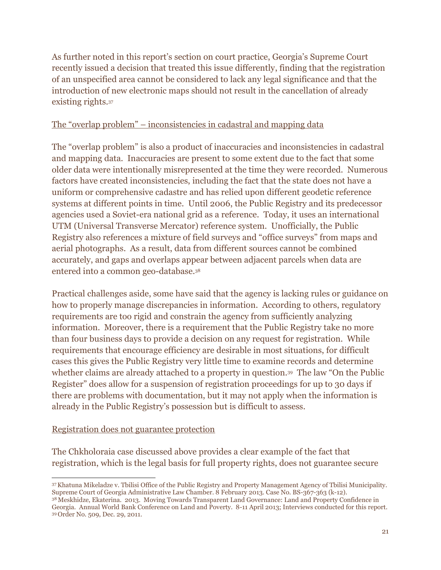As further noted in this report's section on court practice, Georgia's Supreme Court recently issued a decision that treated this issue differently, finding that the registration of an unspecified area cannot be considered to lack any legal significance and that the introduction of new electronic maps should not result in the cancellation of already existing rights.<sup>37</sup>

#### The "overlap problem" – inconsistencies in cadastral and mapping data

The "overlap problem" is also a product of inaccuracies and inconsistencies in cadastral and mapping data. Inaccuracies are present to some extent due to the fact that some older data were intentionally misrepresented at the time they were recorded. Numerous factors have created inconsistencies, including the fact that the state does not have a uniform or comprehensive cadastre and has relied upon different geodetic reference systems at different points in time. Until 2006, the Public Registry and its predecessor agencies used a Soviet-era national grid as a reference. Today, it uses an international UTM (Universal Transverse Mercator) reference system. Unofficially, the Public Registry also references a mixture of field surveys and "office surveys" from maps and aerial photographs. As a result, data from different sources cannot be combined accurately, and gaps and overlaps appear between adjacent parcels when data are entered into a common geo-database.<sup>38</sup>

Practical challenges aside, some have said that the agency is lacking rules or guidance on how to properly manage discrepancies in information. According to others, regulatory requirements are too rigid and constrain the agency from sufficiently analyzing information. Moreover, there is a requirement that the Public Registry take no more than four business days to provide a decision on any request for registration. While requirements that encourage efficiency are desirable in most situations, for difficult cases this gives the Public Registry very little time to examine records and determine whether claims are already attached to a property in question. <sup>39</sup> The law "On the Public Register" does allow for a suspension of registration proceedings for up to 30 days if there are problems with documentation, but it may not apply when the information is already in the Public Registry's possession but is difficult to assess.

#### Registration does not guarantee protection

The Chkholoraia case discussed above provides a clear example of the fact that registration, which is the legal basis for full property rights, does not guarantee secure

 $\overline{a}$ <sup>37</sup>Khatuna Mikeladze v. Tbilisi Office of the Public Registry and Property Management Agency of Tbilisi Municipality. Supreme Court of Georgia Administrative Law Chamber. 8 February 2013. Case No. BS-367-363 (k-12). <sup>38</sup> Meskhidze, Ekaterina. 2013. Moving Towards Transparent Land Governance: Land and Property Confidence in

Georgia. Annual World Bank Conference on Land and Poverty. 8-11 April 2013; Interviews conducted for this report. <sup>39</sup> Order No. 509, Dec. 29, 2011.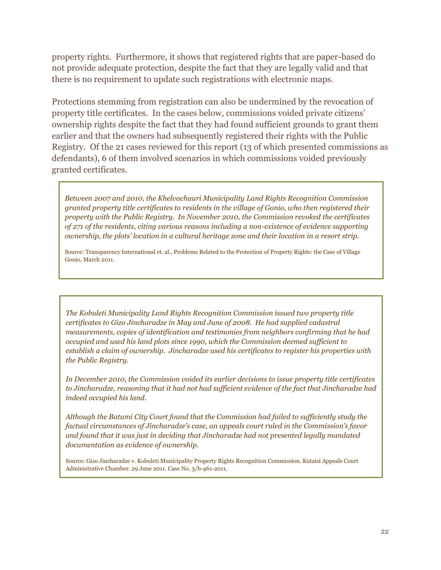property rights. Furthermore, it shows that registered rights that are paper-based do not provide adequate protection, despite the fact that they are legally valid and that there is no requirement to update such registrations with electronic maps.

Protections stemming from registration can also be undermined by the revocation of property title certificates. In the cases below, commissions voided private citizens' ownership rights despite the fact that they had found sufficient grounds to grant them earlier and that the owners had subsequently registered their rights with the Public Registry. Of the 21 cases reviewed for this report (13 of which presented commissions as defendants), 6 of them involved scenarios in which commissions voided previously granted certificates.

*Between 2007 and 2010, the Khelvachauri Municipality Land Rights Recognition Commission granted property title certificates to residents in the village of Gonio, who then registered their property with the Public Registry. In November 2010, the Commission revoked the certificates of 271 of the residents, citing various reasons including a non-existence of evidence supporting ownership, the plots' location in a cultural heritage zone and their location in a resort strip.*

Source: Transparency International et. al., Problems Related to the Protection of Property Rights: the Case of Village Gonio, March 2011.

*The Kobuleti Municipality Land Rights Recognition Commission issued two property title certificates to Gizo Jincharadze in May and June of 2008. He had supplied cadastral measurements, copies of identification and testimonies from neighbors confirming that he had occupied and used his land plots since 1990, which the Commission deemed sufficient to establish a claim of ownership. Jincharadze used his certificates to register his properties with the Public Registry.*

*In December 2010, the Commission voided its earlier decisions to issue property title certificates to Jincharadze, reasoning that it had not had sufficient evidence of the fact that Jincharadze had indeed occupied his land.*

*Although the Batumi City Court found that the Commission had failed to sufficiently study the factual circumstances of Jincharadze's case, an appeals court ruled in the Commission's favor and found that it was just in deciding that Jincharadze had not presented legally mandated documentation as evidence of ownership.*

Source: Gizo Jincharadze v. Kobuleti Municipality Property Rights Recognition Commission. Kutaisi Appeals Court Administrative Chamber. 29 June 2011. Case No. 3/b-461-2011.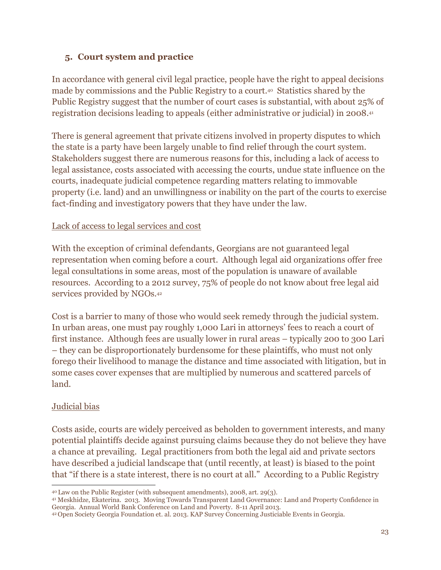#### **5. Court system and practice**

In accordance with general civil legal practice, people have the right to appeal decisions made by commissions and the Public Registry to a court.40 Statistics shared by the Public Registry suggest that the number of court cases is substantial, with about 25% of registration decisions leading to appeals (either administrative or judicial) in 2008.<sup>41</sup>

There is general agreement that private citizens involved in property disputes to which the state is a party have been largely unable to find relief through the court system. Stakeholders suggest there are numerous reasons for this, including a lack of access to legal assistance, costs associated with accessing the courts, undue state influence on the courts, inadequate judicial competence regarding matters relating to immovable property (i.e. land) and an unwillingness or inability on the part of the courts to exercise fact-finding and investigatory powers that they have under the law.

#### Lack of access to legal services and cost

With the exception of criminal defendants, Georgians are not guaranteed legal representation when coming before a court. Although legal aid organizations offer free legal consultations in some areas, most of the population is unaware of available resources. According to a 2012 survey, 75% of people do not know about free legal aid services provided by NGOs. 42

Cost is a barrier to many of those who would seek remedy through the judicial system. In urban areas, one must pay roughly 1,000 Lari in attorneys' fees to reach a court of first instance. Although fees are usually lower in rural areas – typically 200 to 300 Lari – they can be disproportionately burdensome for these plaintiffs, who must not only forego their livelihood to manage the distance and time associated with litigation, but in some cases cover expenses that are multiplied by numerous and scattered parcels of land.

#### Judicial bias

Costs aside, courts are widely perceived as beholden to government interests, and many potential plaintiffs decide against pursuing claims because they do not believe they have a chance at prevailing. Legal practitioners from both the legal aid and private sectors have described a judicial landscape that (until recently, at least) is biased to the point that "if there is a state interest, there is no court at all." According to a Public Registry

<sup>41</sup> Meskhidze, Ekaterina. 2013. Moving Towards Transparent Land Governance: Land and Property Confidence in Georgia. Annual World Bank Conference on Land and Poverty. 8-11 April 2013.

 $\overline{a}$ <sup>40</sup> Law on the Public Register (with subsequent amendments), 2008, art. 29(3).

<sup>42</sup> Open Society Georgia Foundation et. al. 2013. KAP Survey Concerning Justiciable Events in Georgia.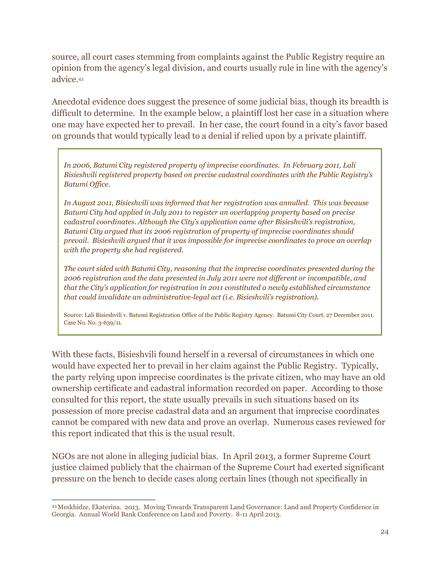source, all court cases stemming from complaints against the Public Registry require an opinion from the agency's legal division, and courts usually rule in line with the agency's advice.<sup>43</sup>

Anecdotal evidence does suggest the presence of some judicial bias, though its breadth is difficult to determine. In the example below, a plaintiff lost her case in a situation where one may have expected her to prevail. In her case, the court found in a city's favor based on grounds that would typically lead to a denial if relied upon by a private plaintiff.

*In 2006, Batumi City registered property of imprecise coordinates. In February 2011, Lali Bisieshvili registered property based on precise cadastral coordinates with the Public Registry's Batumi Office.* 

*In August 2011, Bisieshvili was informed that her registration was annulled. This was because Batumi City had applied in July 2011 to register an overlapping property based on precise cadastral coordinates. Although the City's application came after Bisieshvili's registration, Batumi City argued that its 2006 registration of property of imprecise coordinates should prevail. Bisieshvili argued that it was impossible for imprecise coordinates to prove an overlap with the property she had registered.*

*The court sided with Batumi City, reasoning that the imprecise coordinates presented during the 2006 registration and the data presented in July 2011 were not different or incompatible, and that the City's application for registration in 2011 constituted a newly established circumstance that could invalidate an administrative-legal act (i.e. Bisieshvili's registration).*

Source: Lali Bisieshvili v. Batumi Registration Office of the Public Registry Agency. Batumi City Court. 27 December 2011. Case No. No. 3-639/11.

With these facts, Bisieshvili found herself in a reversal of circumstances in which one would have expected her to prevail in her claim against the Public Registry. Typically, the party relying upon imprecise coordinates is the private citizen, who may have an old ownership certificate and cadastral information recorded on paper. According to those consulted for this report, the state usually prevails in such situations based on its possession of more precise cadastral data and an argument that imprecise coordinates cannot be compared with new data and prove an overlap. Numerous cases reviewed for this report indicated that this is the usual result.

NGOs are not alone in alleging judicial bias. In April 2013, a former Supreme Court justice claimed publicly that the chairman of the Supreme Court had exerted significant pressure on the bench to decide cases along certain lines (though not specifically in

 $\overline{a}$ 

<sup>43</sup> Meskhidze, Ekaterina. 2013. Moving Towards Transparent Land Governance: Land and Property Confidence in Georgia. Annual World Bank Conference on Land and Poverty. 8-11 April 2013.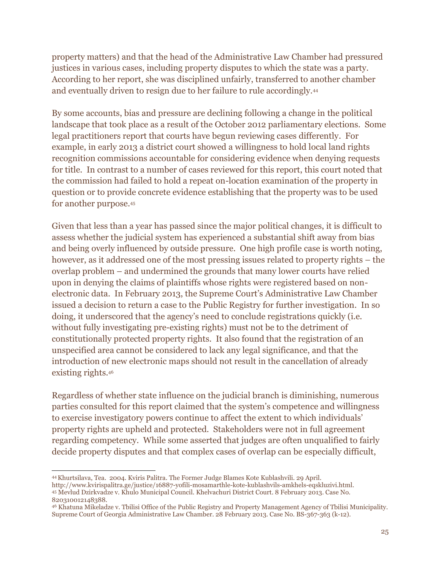property matters) and that the head of the Administrative Law Chamber had pressured justices in various cases, including property disputes to which the state was a party. According to her report, she was disciplined unfairly, transferred to another chamber and eventually driven to resign due to her failure to rule accordingly.<sup>44</sup>

By some accounts, bias and pressure are declining following a change in the political landscape that took place as a result of the October 2012 parliamentary elections. Some legal practitioners report that courts have begun reviewing cases differently. For example, in early 2013 a district court showed a willingness to hold local land rights recognition commissions accountable for considering evidence when denying requests for title. In contrast to a number of cases reviewed for this report, this court noted that the commission had failed to hold a repeat on-location examination of the property in question or to provide concrete evidence establishing that the property was to be used for another purpose.<sup>45</sup>

Given that less than a year has passed since the major political changes, it is difficult to assess whether the judicial system has experienced a substantial shift away from bias and being overly influenced by outside pressure. One high profile case is worth noting, however, as it addressed one of the most pressing issues related to property rights – the overlap problem – and undermined the grounds that many lower courts have relied upon in denying the claims of plaintiffs whose rights were registered based on nonelectronic data. In February 2013, the Supreme Court's Administrative Law Chamber issued a decision to return a case to the Public Registry for further investigation. In so doing, it underscored that the agency's need to conclude registrations quickly (i.e. without fully investigating pre-existing rights) must not be to the detriment of constitutionally protected property rights. It also found that the registration of an unspecified area cannot be considered to lack any legal significance, and that the introduction of new electronic maps should not result in the cancellation of already existing rights.<sup>46</sup>

Regardless of whether state influence on the judicial branch is diminishing, numerous parties consulted for this report claimed that the system's competence and willingness to exercise investigatory powers continue to affect the extent to which individuals' property rights are upheld and protected. Stakeholders were not in full agreement regarding competency. While some asserted that judges are often unqualified to fairly decide property disputes and that complex cases of overlap can be especially difficult,

 $\overline{a}$ <sup>44</sup>Khurtsilava, Tea. 2004. Kviris Palitra. The Former Judge Blames Kote Kublashvili. 29 April.

[http://www.kvirispalitra.ge/justice/16887-yofili-mosamarthle-kote-kublashvils-amkhels-eqskluzivi.html.](http://www.kvirispalitra.ge/justice/16887-yofili-mosamarthle-kote-kublashvils-amkhels-eqskluzivi.html) <sup>45</sup> Mevlud Dzirkvadze v. Khulo Municipal Council. Khelvachuri District Court. 8 February 2013. Case No. 820310012148388.

<sup>46</sup> Khatuna Mikeladze v. Tbilisi Office of the Public Registry and Property Management Agency of Tbilisi Municipality. Supreme Court of Georgia Administrative Law Chamber. 28 February 2013. Case No. BS-367-363 (k-12).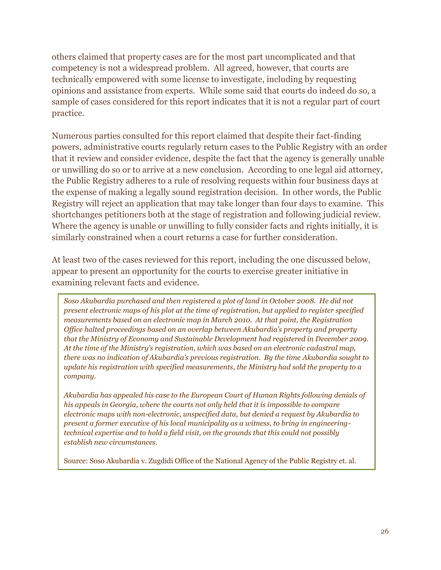others claimed that property cases are for the most part uncomplicated and that competency is not a widespread problem. All agreed, however, that courts are technically empowered with some license to investigate, including by requesting opinions and assistance from experts. While some said that courts do indeed do so, a sample of cases considered for this report indicates that it is not a regular part of court practice.

Numerous parties consulted for this report claimed that despite their fact-finding powers, administrative courts regularly return cases to the Public Registry with an order that it review and consider evidence, despite the fact that the agency is generally unable or unwilling do so or to arrive at a new conclusion. According to one legal aid attorney, the Public Registry adheres to a rule of resolving requests within four business days at the expense of making a legally sound registration decision. In other words, the Public Registry will reject an application that may take longer than four days to examine. This shortchanges petitioners both at the stage of registration and following judicial review. Where the agency is unable or unwilling to fully consider facts and rights initially, it is similarly constrained when a court returns a case for further consideration.

At least two of the cases reviewed for this report, including the one discussed below, appear to present an opportunity for the courts to exercise greater initiative in examining relevant facts and evidence.

*Soso Akubardia purchased and then registered a plot of land in October 2008. He did not present electronic maps of his plot at the time of registration, but applied to register specified measurements based on an electronic map in March 2010. At that point, the Registration Office halted proceedings based on an overlap between Akubardia's property and property that the Ministry of Economy and Sustainable Development had registered in December 2009. At the time of the Ministry's registration, which was based on an electronic cadastral map, there was no indication of Akubardia's previous registration. By the time Akubardia sought to update his registration with specified measurements, the Ministry had sold the property to a company.*

*Akubardia has appealed his case to the European Court of Human Rights following denials of his appeals in Georgia, where the courts not only held that it is impossible to compare electronic maps with non-electronic, unspecified data, but denied a request by Akubardia to present a former executive of his local municipality as a witness, to bring in engineeringtechnical expertise and to hold a field visit, on the grounds that this could not possibly establish new circumstances.*

Source: Soso Akubardia v. Zugdidi Office of the National Agency of the Public Registry et. al.

Zugdidi Regional Court. 4 October 2010. Case No. 3/49-2010.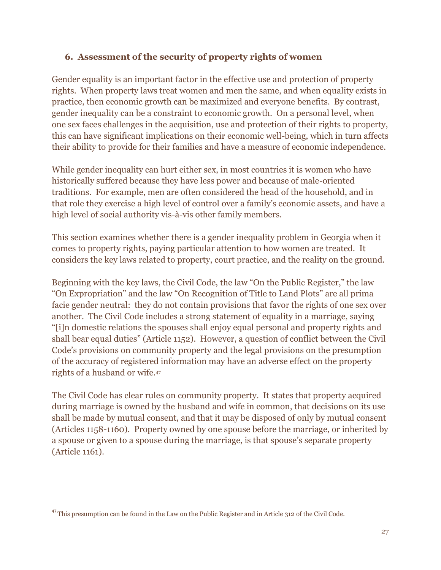#### **6. Assessment of the security of property rights of women**

Gender equality is an important factor in the effective use and protection of property rights. When property laws treat women and men the same, and when equality exists in practice, then economic growth can be maximized and everyone benefits. By contrast, gender inequality can be a constraint to economic growth. On a personal level, when one sex faces challenges in the acquisition, use and protection of their rights to property, this can have significant implications on their economic well-being, which in turn affects their ability to provide for their families and have a measure of economic independence.

While gender inequality can hurt either sex, in most countries it is women who have historically suffered because they have less power and because of male-oriented traditions. For example, men are often considered the head of the household, and in that role they exercise a high level of control over a family's economic assets, and have a high level of social authority vis-à-vis other family members.

This section examines whether there is a gender inequality problem in Georgia when it comes to property rights, paying particular attention to how women are treated. It considers the key laws related to property, court practice, and the reality on the ground.

Beginning with the key laws, the Civil Code, the law "On the Public Register," the law "On Expropriation" and the law "On Recognition of Title to Land Plots" are all prima facie gender neutral: they do not contain provisions that favor the rights of one sex over another. The Civil Code includes a strong statement of equality in a marriage, saying "[i]n domestic relations the spouses shall enjoy equal personal and property rights and shall bear equal duties" (Article 1152). However, a question of conflict between the Civil Code's provisions on community property and the legal provisions on the presumption of the accuracy of registered information may have an adverse effect on the property rights of a husband or wife.<sup>47</sup>

The Civil Code has clear rules on community property. It states that property acquired during marriage is owned by the husband and wife in common, that decisions on its use shall be made by mutual consent, and that it may be disposed of only by mutual consent (Articles 1158-1160). Property owned by one spouse before the marriage, or inherited by a spouse or given to a spouse during the marriage, is that spouse's separate property (Article 1161).

 $\overline{a}$  $^{47}$ This presumption can be found in the Law on the Public Register and in Article 312 of the Civil Code.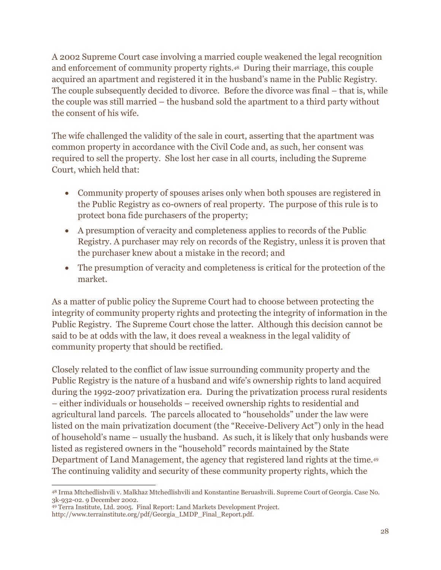A 2002 Supreme Court case involving a married couple weakened the legal recognition and enforcement of community property rights.48 During their marriage, this couple acquired an apartment and registered it in the husband's name in the Public Registry. The couple subsequently decided to divorce. Before the divorce was final – that is, while the couple was still married – the husband sold the apartment to a third party without the consent of his wife.

The wife challenged the validity of the sale in court, asserting that the apartment was common property in accordance with the Civil Code and, as such, her consent was required to sell the property. She lost her case in all courts, including the Supreme Court, which held that:

- Community property of spouses arises only when both spouses are registered in the Public Registry as co-owners of real property. The purpose of this rule is to protect bona fide purchasers of the property;
- A presumption of veracity and completeness applies to records of the Public Registry. A purchaser may rely on records of the Registry, unless it is proven that the purchaser knew about a mistake in the record; and
- The presumption of veracity and completeness is critical for the protection of the market.

As a matter of public policy the Supreme Court had to choose between protecting the integrity of community property rights and protecting the integrity of information in the Public Registry. The Supreme Court chose the latter. Although this decision cannot be said to be at odds with the law, it does reveal a weakness in the legal validity of community property that should be rectified.

Closely related to the conflict of law issue surrounding community property and the Public Registry is the nature of a husband and wife's ownership rights to land acquired during the 1992-2007 privatization era. During the privatization process rural residents – either individuals or households – received ownership rights to residential and agricultural land parcels. The parcels allocated to "households" under the law were listed on the main privatization document (the "Receive-Delivery Act") only in the head of household's name – usually the husband. As such, it is likely that only husbands were listed as registered owners in the "household" records maintained by the State Department of Land Management, the agency that registered land rights at the time.<sup>49</sup> The continuing validity and security of these community property rights, which the

 $\overline{a}$ <sup>48</sup> Irma Mtchedlishvili v. Malkhaz Mtchedlishvili and Konstantine Beruashvili. Supreme Court of Georgia. Case No. 3k-932-02. 9 December 2002.

<sup>49</sup> Terra Institute, Ltd. 2005. Final Report: Land Markets Development Project. [http://www.terrainstitute.org/pdf/Georgia\\_LMDP\\_Final\\_Report.pdf.](http://www.terrainstitute.org/pdf/Georgia_LMDP_Final_Report.pdf)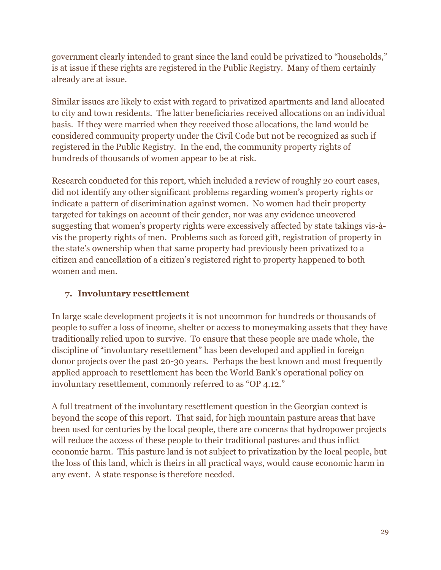government clearly intended to grant since the land could be privatized to "households," is at issue if these rights are registered in the Public Registry. Many of them certainly already are at issue.

Similar issues are likely to exist with regard to privatized apartments and land allocated to city and town residents. The latter beneficiaries received allocations on an individual basis. If they were married when they received those allocations, the land would be considered community property under the Civil Code but not be recognized as such if registered in the Public Registry. In the end, the community property rights of hundreds of thousands of women appear to be at risk.

Research conducted for this report, which included a review of roughly 20 court cases, did not identify any other significant problems regarding women's property rights or indicate a pattern of discrimination against women. No women had their property targeted for takings on account of their gender, nor was any evidence uncovered suggesting that women's property rights were excessively affected by state takings vis-àvis the property rights of men. Problems such as forced gift, registration of property in the state's ownership when that same property had previously been privatized to a citizen and cancellation of a citizen's registered right to property happened to both women and men.

#### **7. Involuntary resettlement**

In large scale development projects it is not uncommon for hundreds or thousands of people to suffer a loss of income, shelter or access to moneymaking assets that they have traditionally relied upon to survive. To ensure that these people are made whole, the discipline of "involuntary resettlement" has been developed and applied in foreign donor projects over the past 20-30 years. Perhaps the best known and most frequently applied approach to resettlement has been the World Bank's operational policy on involuntary resettlement, commonly referred to as "OP 4.12."

A full treatment of the involuntary resettlement question in the Georgian context is beyond the scope of this report. That said, for high mountain pasture areas that have been used for centuries by the local people, there are concerns that hydropower projects will reduce the access of these people to their traditional pastures and thus inflict economic harm. This pasture land is not subject to privatization by the local people, but the loss of this land, which is theirs in all practical ways, would cause economic harm in any event. A state response is therefore needed.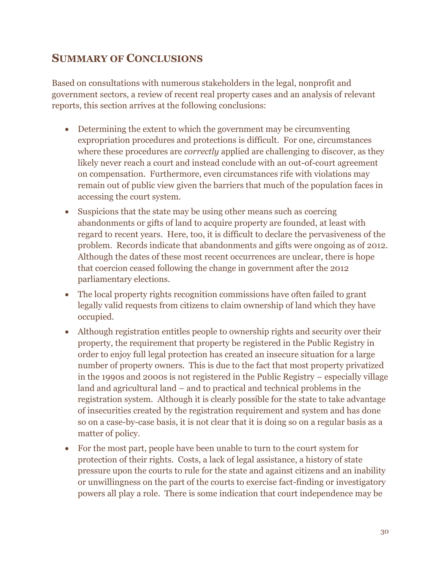### **SUMMARY OF CONCLUSIONS**

Based on consultations with numerous stakeholders in the legal, nonprofit and government sectors, a review of recent real property cases and an analysis of relevant reports, this section arrives at the following conclusions:

- Determining the extent to which the government may be circumventing expropriation procedures and protections is difficult. For one, circumstances where these procedures are *correctly* applied are challenging to discover, as they likely never reach a court and instead conclude with an out-of-court agreement on compensation. Furthermore, even circumstances rife with violations may remain out of public view given the barriers that much of the population faces in accessing the court system.
- Suspicions that the state may be using other means such as coercing abandonments or gifts of land to acquire property are founded, at least with regard to recent years. Here, too, it is difficult to declare the pervasiveness of the problem. Records indicate that abandonments and gifts were ongoing as of 2012. Although the dates of these most recent occurrences are unclear, there is hope that coercion ceased following the change in government after the 2012 parliamentary elections.
- The local property rights recognition commissions have often failed to grant legally valid requests from citizens to claim ownership of land which they have occupied.
- Although registration entitles people to ownership rights and security over their property, the requirement that property be registered in the Public Registry in order to enjoy full legal protection has created an insecure situation for a large number of property owners. This is due to the fact that most property privatized in the 1990s and 2000s is not registered in the Public Registry – especially village land and agricultural land – and to practical and technical problems in the registration system. Although it is clearly possible for the state to take advantage of insecurities created by the registration requirement and system and has done so on a case-by-case basis, it is not clear that it is doing so on a regular basis as a matter of policy.
- For the most part, people have been unable to turn to the court system for protection of their rights. Costs, a lack of legal assistance, a history of state pressure upon the courts to rule for the state and against citizens and an inability or unwillingness on the part of the courts to exercise fact-finding or investigatory powers all play a role. There is some indication that court independence may be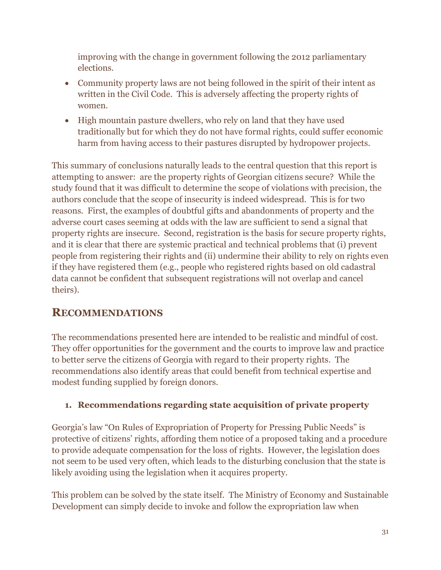improving with the change in government following the 2012 parliamentary elections.

- Community property laws are not being followed in the spirit of their intent as written in the Civil Code. This is adversely affecting the property rights of women.
- High mountain pasture dwellers, who rely on land that they have used traditionally but for which they do not have formal rights, could suffer economic harm from having access to their pastures disrupted by hydropower projects.

This summary of conclusions naturally leads to the central question that this report is attempting to answer: are the property rights of Georgian citizens secure? While the study found that it was difficult to determine the scope of violations with precision, the authors conclude that the scope of insecurity is indeed widespread. This is for two reasons. First, the examples of doubtful gifts and abandonments of property and the adverse court cases seeming at odds with the law are sufficient to send a signal that property rights are insecure. Second, registration is the basis for secure property rights, and it is clear that there are systemic practical and technical problems that (i) prevent people from registering their rights and (ii) undermine their ability to rely on rights even if they have registered them (e.g., people who registered rights based on old cadastral data cannot be confident that subsequent registrations will not overlap and cancel theirs).

### **RECOMMENDATIONS**

The recommendations presented here are intended to be realistic and mindful of cost. They offer opportunities for the government and the courts to improve law and practice to better serve the citizens of Georgia with regard to their property rights. The recommendations also identify areas that could benefit from technical expertise and modest funding supplied by foreign donors.

### **1. Recommendations regarding state acquisition of private property**

Georgia's law "On Rules of Expropriation of Property for Pressing Public Needs" is protective of citizens' rights, affording them notice of a proposed taking and a procedure to provide adequate compensation for the loss of rights. However, the legislation does not seem to be used very often, which leads to the disturbing conclusion that the state is likely avoiding using the legislation when it acquires property.

This problem can be solved by the state itself. The Ministry of Economy and Sustainable Development can simply decide to invoke and follow the expropriation law when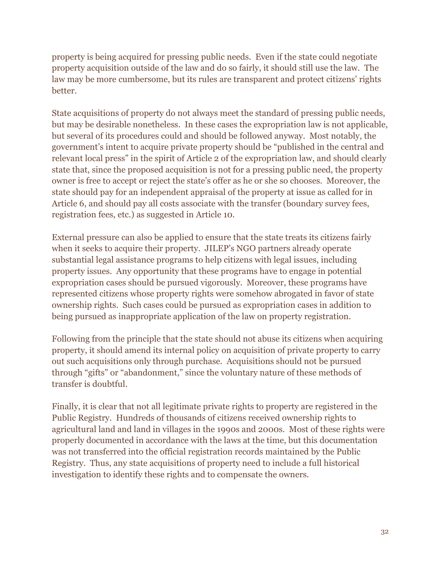property is being acquired for pressing public needs. Even if the state could negotiate property acquisition outside of the law and do so fairly, it should still use the law. The law may be more cumbersome, but its rules are transparent and protect citizens' rights better.

State acquisitions of property do not always meet the standard of pressing public needs, but may be desirable nonetheless. In these cases the expropriation law is not applicable, but several of its procedures could and should be followed anyway. Most notably, the government's intent to acquire private property should be "published in the central and relevant local press" in the spirit of Article 2 of the expropriation law, and should clearly state that, since the proposed acquisition is not for a pressing public need, the property owner is free to accept or reject the state's offer as he or she so chooses. Moreover, the state should pay for an independent appraisal of the property at issue as called for in Article 6, and should pay all costs associate with the transfer (boundary survey fees, registration fees, etc.) as suggested in Article 10.

External pressure can also be applied to ensure that the state treats its citizens fairly when it seeks to acquire their property. JILEP's NGO partners already operate substantial legal assistance programs to help citizens with legal issues, including property issues. Any opportunity that these programs have to engage in potential expropriation cases should be pursued vigorously. Moreover, these programs have represented citizens whose property rights were somehow abrogated in favor of state ownership rights. Such cases could be pursued as expropriation cases in addition to being pursued as inappropriate application of the law on property registration.

Following from the principle that the state should not abuse its citizens when acquiring property, it should amend its internal policy on acquisition of private property to carry out such acquisitions only through purchase. Acquisitions should not be pursued through "gifts" or "abandonment," since the voluntary nature of these methods of transfer is doubtful.

Finally, it is clear that not all legitimate private rights to property are registered in the Public Registry. Hundreds of thousands of citizens received ownership rights to agricultural land and land in villages in the 1990s and 2000s. Most of these rights were properly documented in accordance with the laws at the time, but this documentation was not transferred into the official registration records maintained by the Public Registry. Thus, any state acquisitions of property need to include a full historical investigation to identify these rights and to compensate the owners.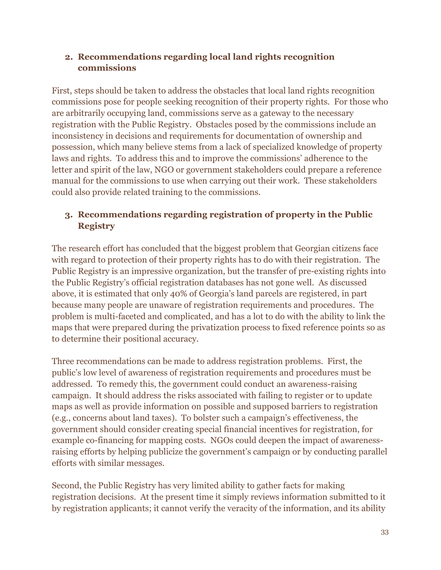#### **2. Recommendations regarding local land rights recognition commissions**

First, steps should be taken to address the obstacles that local land rights recognition commissions pose for people seeking recognition of their property rights. For those who are arbitrarily occupying land, commissions serve as a gateway to the necessary registration with the Public Registry. Obstacles posed by the commissions include an inconsistency in decisions and requirements for documentation of ownership and possession, which many believe stems from a lack of specialized knowledge of property laws and rights. To address this and to improve the commissions' adherence to the letter and spirit of the law, NGO or government stakeholders could prepare a reference manual for the commissions to use when carrying out their work. These stakeholders could also provide related training to the commissions.

#### **3. Recommendations regarding registration of property in the Public Registry**

The research effort has concluded that the biggest problem that Georgian citizens face with regard to protection of their property rights has to do with their registration. The Public Registry is an impressive organization, but the transfer of pre-existing rights into the Public Registry's official registration databases has not gone well. As discussed above, it is estimated that only 40% of Georgia's land parcels are registered, in part because many people are unaware of registration requirements and procedures. The problem is multi-faceted and complicated, and has a lot to do with the ability to link the maps that were prepared during the privatization process to fixed reference points so as to determine their positional accuracy.

Three recommendations can be made to address registration problems. First, the public's low level of awareness of registration requirements and procedures must be addressed. To remedy this, the government could conduct an awareness-raising campaign. It should address the risks associated with failing to register or to update maps as well as provide information on possible and supposed barriers to registration (e.g., concerns about land taxes). To bolster such a campaign's effectiveness, the government should consider creating special financial incentives for registration, for example co-financing for mapping costs. NGOs could deepen the impact of awarenessraising efforts by helping publicize the government's campaign or by conducting parallel efforts with similar messages.

Second, the Public Registry has very limited ability to gather facts for making registration decisions. At the present time it simply reviews information submitted to it by registration applicants; it cannot verify the veracity of the information, and its ability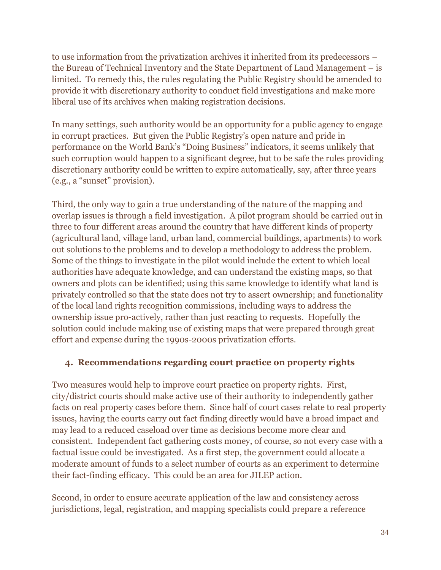to use information from the privatization archives it inherited from its predecessors – the Bureau of Technical Inventory and the State Department of Land Management – is limited. To remedy this, the rules regulating the Public Registry should be amended to provide it with discretionary authority to conduct field investigations and make more liberal use of its archives when making registration decisions.

In many settings, such authority would be an opportunity for a public agency to engage in corrupt practices. But given the Public Registry's open nature and pride in performance on the World Bank's "Doing Business" indicators, it seems unlikely that such corruption would happen to a significant degree, but to be safe the rules providing discretionary authority could be written to expire automatically, say, after three years (e.g., a "sunset" provision).

Third, the only way to gain a true understanding of the nature of the mapping and overlap issues is through a field investigation. A pilot program should be carried out in three to four different areas around the country that have different kinds of property (agricultural land, village land, urban land, commercial buildings, apartments) to work out solutions to the problems and to develop a methodology to address the problem. Some of the things to investigate in the pilot would include the extent to which local authorities have adequate knowledge, and can understand the existing maps, so that owners and plots can be identified; using this same knowledge to identify what land is privately controlled so that the state does not try to assert ownership; and functionality of the local land rights recognition commissions, including ways to address the ownership issue pro-actively, rather than just reacting to requests. Hopefully the solution could include making use of existing maps that were prepared through great effort and expense during the 1990s-2000s privatization efforts.

#### **4. Recommendations regarding court practice on property rights**

Two measures would help to improve court practice on property rights. First, city/district courts should make active use of their authority to independently gather facts on real property cases before them. Since half of court cases relate to real property issues, having the courts carry out fact finding directly would have a broad impact and may lead to a reduced caseload over time as decisions become more clear and consistent. Independent fact gathering costs money, of course, so not every case with a factual issue could be investigated. As a first step, the government could allocate a moderate amount of funds to a select number of courts as an experiment to determine their fact-finding efficacy. This could be an area for JILEP action.

Second, in order to ensure accurate application of the law and consistency across jurisdictions, legal, registration, and mapping specialists could prepare a reference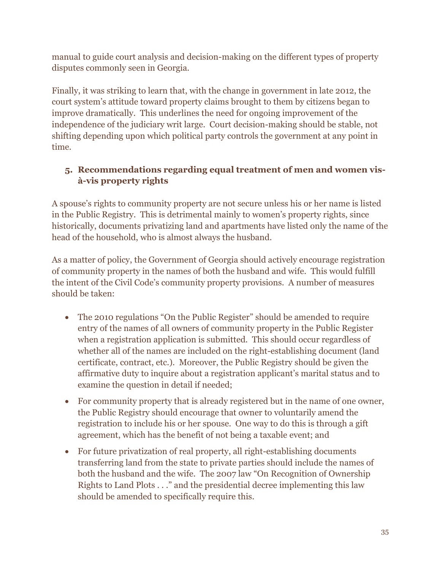manual to guide court analysis and decision-making on the different types of property disputes commonly seen in Georgia.

Finally, it was striking to learn that, with the change in government in late 2012, the court system's attitude toward property claims brought to them by citizens began to improve dramatically. This underlines the need for ongoing improvement of the independence of the judiciary writ large. Court decision-making should be stable, not shifting depending upon which political party controls the government at any point in time.

#### **5. Recommendations regarding equal treatment of men and women visà-vis property rights**

A spouse's rights to community property are not secure unless his or her name is listed in the Public Registry. This is detrimental mainly to women's property rights, since historically, documents privatizing land and apartments have listed only the name of the head of the household, who is almost always the husband.

As a matter of policy, the Government of Georgia should actively encourage registration of community property in the names of both the husband and wife. This would fulfill the intent of the Civil Code's community property provisions. A number of measures should be taken:

- The 2010 regulations "On the Public Register" should be amended to require entry of the names of all owners of community property in the Public Register when a registration application is submitted. This should occur regardless of whether all of the names are included on the right-establishing document (land certificate, contract, etc.). Moreover, the Public Registry should be given the affirmative duty to inquire about a registration applicant's marital status and to examine the question in detail if needed;
- For community property that is already registered but in the name of one owner, the Public Registry should encourage that owner to voluntarily amend the registration to include his or her spouse. One way to do this is through a gift agreement, which has the benefit of not being a taxable event; and
- For future privatization of real property, all right-establishing documents transferring land from the state to private parties should include the names of both the husband and the wife. The 2007 law "On Recognition of Ownership Rights to Land Plots . . ." and the presidential decree implementing this law should be amended to specifically require this.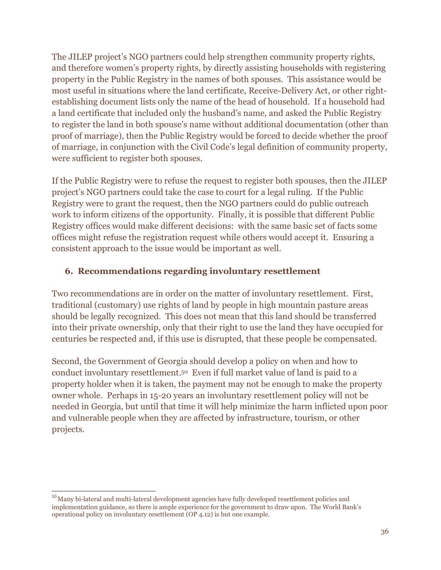The JILEP project's NGO partners could help strengthen community property rights, and therefore women's property rights, by directly assisting households with registering property in the Public Registry in the names of both spouses. This assistance would be most useful in situations where the land certificate, Receive-Delivery Act, or other rightestablishing document lists only the name of the head of household. If a household had a land certificate that included only the husband's name, and asked the Public Registry to register the land in both spouse's name without additional documentation (other than proof of marriage), then the Public Registry would be forced to decide whether the proof of marriage, in conjunction with the Civil Code's legal definition of community property, were sufficient to register both spouses.

If the Public Registry were to refuse the request to register both spouses, then the JILEP project's NGO partners could take the case to court for a legal ruling. If the Public Registry were to grant the request, then the NGO partners could do public outreach work to inform citizens of the opportunity. Finally, it is possible that different Public Registry offices would make different decisions: with the same basic set of facts some offices might refuse the registration request while others would accept it. Ensuring a consistent approach to the issue would be important as well.

#### **6. Recommendations regarding involuntary resettlement**

Two recommendations are in order on the matter of involuntary resettlement. First, traditional (customary) use rights of land by people in high mountain pasture areas should be legally recognized. This does not mean that this land should be transferred into their private ownership, only that their right to use the land they have occupied for centuries be respected and, if this use is disrupted, that these people be compensated.

Second, the Government of Georgia should develop a policy on when and how to conduct involuntary resettlement. <sup>50</sup> Even if full market value of land is paid to a property holder when it is taken, the payment may not be enough to make the property owner whole. Perhaps in 15-20 years an involuntary resettlement policy will not be needed in Georgia, but until that time it will help minimize the harm inflicted upon poor and vulnerable people when they are affected by infrastructure, tourism, or other projects.

 $\overline{a}$ 

<sup>&</sup>lt;sup>50</sup> Many bi-lateral and multi-lateral development agencies have fully developed resettlement policies and implementation guidance, so there is ample experience for the government to draw upon. The World Bank's operational policy on involuntary resettlement (OP 4.12) is but one example.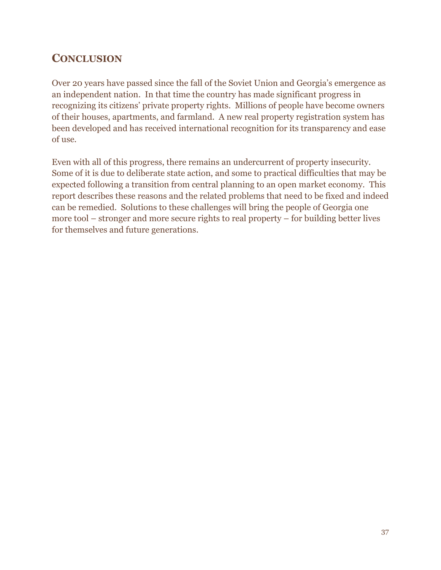### **CONCLUSION**

Over 20 years have passed since the fall of the Soviet Union and Georgia's emergence as an independent nation. In that time the country has made significant progress in recognizing its citizens' private property rights. Millions of people have become owners of their houses, apartments, and farmland. A new real property registration system has been developed and has received international recognition for its transparency and ease of use.

Even with all of this progress, there remains an undercurrent of property insecurity. Some of it is due to deliberate state action, and some to practical difficulties that may be expected following a transition from central planning to an open market economy. This report describes these reasons and the related problems that need to be fixed and indeed can be remedied. Solutions to these challenges will bring the people of Georgia one more tool – stronger and more secure rights to real property – for building better lives for themselves and future generations.